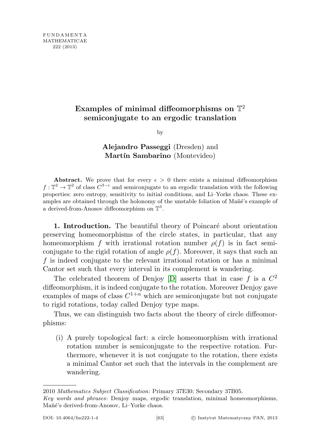## Examples of minimal diffeomorphisms on  $\mathbb{T}^2$ semiconjugate to an ergodic translation

by

## Alejandro Passeggi (Dresden) and Martín Sambarino (Montevideo)

Abstract. We prove that for every  $\epsilon > 0$  there exists a minimal diffeomorphism  $f: \mathbb{T}^2 \to \mathbb{T}^2$  of class  $C^{3-\epsilon}$  and semiconjugate to an ergodic translation with the following properties: zero entropy, sensitivity to initial conditions, and Li–Yorke chaos. These examples are obtained through the holonomy of the unstable foliation of Mañé's example of a derived-from-Anosov diffeomorphism on  $\mathbb{T}^3$ .

1. Introduction. The beautiful theory of Poincaré about orientation preserving homeomorphisms of the circle states, in particular, that any homeomorphism f with irrational rotation number  $\rho(f)$  is in fact semiconjugate to the rigid rotation of angle  $\rho(f)$ . Moreover, it says that such an f is indeed conjugate to the relevant irrational rotation or has a minimal Cantor set such that every interval in its complement is wandering.

The celebrated theorem of Denjoy [\[D\]](#page-33-0) asserts that in case f is a  $C^2$ diffeomorphism, it is indeed conjugate to the rotation. Moreover Denjoy gave examples of maps of class  $C^{1+\alpha}$  which are semiconjugate but not conjugate to rigid rotations, today called Denjoy type maps.

Thus, we can distinguish two facts about the theory of circle diffeomorphisms:

(i) A purely topological fact: a circle homeomorphism with irrational rotation number is semiconjugate to the respective rotation. Furthermore, whenever it is not conjugate to the rotation, there exists a minimal Cantor set such that the intervals in the complement are wandering.

<sup>2010</sup> Mathematics Subject Classification: Primary 37E30; Secondary 37B05.

Key words and phrases: Denjoy maps, ergodic translation, minimal homeomorphisms, Mañé's derived-from-Anosov, Li–Yorke chaos.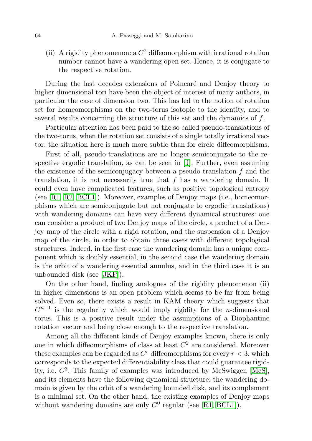(ii) A rigidity phenomenon: a  $C^2$  diffeomorphism with irrational rotation number cannot have a wandering open set. Hence, it is conjugate to the respective rotation.

During the last decades extensions of Poincaré and Denjoy theory to higher dimensional tori have been the object of interest of many authors, in particular the case of dimension two. This has led to the notion of rotation set for homeomorphisms on the two-torus isotopic to the identity, and to several results concerning the structure of this set and the dynamics of f.

Particular attention has been paid to the so called pseudo-translations of the two-torus, when the rotation set consists of a single totally irrational vector; the situation here is much more subtle than for circle diffeomorphisms.

First of all, pseudo-translations are no longer semiconjugate to the respective ergodic translation, as can be seen in [\[J\]](#page-33-1). Further, even assuming the existence of the semiconjugacy between a pseudo-translation  $f$  and the translation, it is not necessarily true that f has a wandering domain. It could even have complicated features, such as positive topological entropy (see [\[R1,](#page-34-0) [R2,](#page-34-1) [BCL1\]](#page-33-2)). Moreover, examples of Denjoy maps (i.e., homeomorphisms which are semiconjugate but not conjugate to ergodic translations) with wandering domains can have very different dynamical structures: one can consider a product of two Denjoy maps of the circle, a product of a Denjoy map of the circle with a rigid rotation, and the suspension of a Denjoy map of the circle, in order to obtain three cases with different topological structures. Indeed, in the first case the wandering domain has a unique component which is doubly essential, in the second case the wandering domain is the orbit of a wandering essential annulus, and in the third case it is an unbounded disk (see [\[JKP\]](#page-33-3)).

On the other hand, finding analogues of the rigidity phenomenon (ii) in higher dimensions is an open problem which seems to be far from being solved. Even so, there exists a result in KAM theory which suggests that  $C^{n+1}$  is the regularity which would imply rigidity for the *n*-dimensional torus. This is a positive result under the assumptions of a Diophantine rotation vector and being close enough to the respective translation.

Among all the different kinds of Denjoy examples known, there is only one in which diffeomorphisms of class at least  $C^2$  are considered. Moreover these examples can be regarded as  $C<sup>r</sup>$  diffeomorphisms for every  $r < 3$ , which corresponds to the expected differentiability class that could guarantee rigidity, i.e.  $C^3$ . This family of examples was introduced by McSwiggen [\[McS\]](#page-33-4), and its elements have the following dynamical structure: the wandering domain is given by the orbit of a wandering bounded disk, and its complement is a minimal set. On the other hand, the existing examples of Denjoy maps without wandering domains are only  $C^0$  regular (see [\[R1,](#page-34-0) [BCL1\]](#page-33-2)).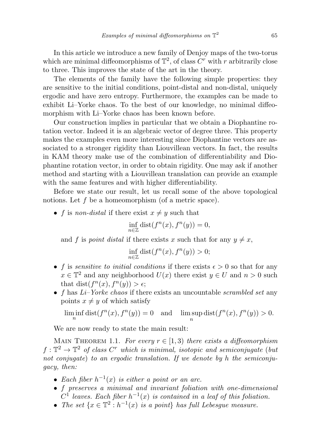In this article we introduce a new family of Denjoy maps of the two-torus which are minimal diffeomorphisms of  $\mathbb{T}^2$ , of class  $C^r$  with r arbitrarily close to three. This improves the state of the art in the theory.

The elements of the family have the following simple properties: they are sensitive to the initial conditions, point-distal and non-distal, uniquely ergodic and have zero entropy. Furthermore, the examples can be made to exhibit Li–Yorke chaos. To the best of our knowledge, no minimal diffeomorphism with Li–Yorke chaos has been known before.

Our construction implies in particular that we obtain a Diophantine rotation vector. Indeed it is an algebraic vector of degree three. This property makes the examples even more interesting since Diophantine vectors are associated to a stronger rigidity than Liouvillean vectors. In fact, the results in KAM theory make use of the combination of differentiability and Diophantine rotation vector, in order to obtain rigidity. One may ask if another method and starting with a Liouvillean translation can provide an example with the same features and with higher differentiability.

Before we state our result, let us recall some of the above topological notions. Let f be a homeomorphism (of a metric space).

• f is non-distal if there exist  $x \neq y$  such that

$$
\inf_{n\in\mathbb{Z}}{\rm dist}(f^n(x),f^n(y))=0,
$$

and f is point distal if there exists x such that for any  $y \neq x$ ,

$$
\inf_{n\in\mathbb{Z}}\text{dist}(f^n(x), f^n(y)) > 0;
$$

- f is sensitive to initial conditions if there exists  $\epsilon > 0$  so that for any  $x \in \mathbb{T}^2$  and any neighborhood  $U(x)$  there exist  $y \in U$  and  $n > 0$  such that dist( $f^{n}(x), f^{n}(y) > \epsilon$ ;
- f has  $Li-Yorke$  chaos if there exists an uncountable scrambled set any points  $x \neq y$  of which satisfy

 $\liminf_{n} dist(f^{n}(x), f^{n}(y)) = 0$  and  $\limsup_{n} dist(f^{n}(x), f^{n}(y)) > 0.$ n

We are now ready to state the main result:

MAIN THEOREM 1.1. For every  $r \in [1,3)$  there exists a diffeomorphism  $f: \mathbb{T}^2 \to \mathbb{T}^2$  of class  $C^r$  which is minimal, isotopic and semiconjugate (but not conjugate) to an ergodic translation. If we denote by h the semiconjugacy, then:

- Each fiber  $h^{-1}(x)$  is either a point or an arc.
- f preserves a minimal and invariant foliation with one-dimensional  $C^1$  leaves. Each fiber  $h^{-1}(x)$  is contained in a leaf of this foliation.
- The set  $\{x \in \mathbb{T}^2 : h^{-1}(x)$  is a point} has full Lebesgue measure.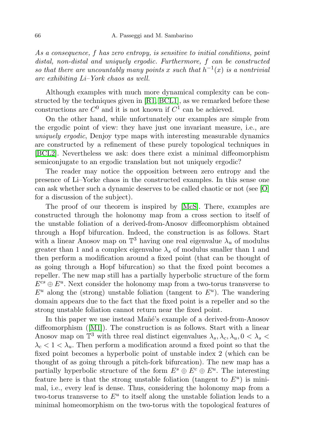As a consequence, f has zero entropy, is sensitive to initial conditions, point distal, non-distal and uniquely ergodic. Furthermore, f can be constructed so that there are uncountably many points x such that  $h^{-1}(x)$  is a nontrivial arc exhibiting Li–York chaos as well.

Although examples with much more dynamical complexity can be constructed by the techniques given in [\[R1,](#page-34-0) [BCL1\]](#page-33-2), as we remarked before these constructions are  $C^0$  and it is not known if  $C^1$  can be achieved.

On the other hand, while unfortunately our examples are simple from the ergodic point of view: they have just one invariant measure, i.e., are uniquely ergodic, Denjoy type maps with interesting measurable dynamics are constructed by a refinement of these purely topological techniques in [\[BCL2\]](#page-33-5). Nevertheless we ask: does there exist a minimal diffeomorphism semiconjugate to an ergodic translation but not uniquely ergodic?

The reader may notice the opposition between zero entropy and the presence of Li–Yorke chaos in the constructed examples. In this sense one can ask whether such a dynamic deserves to be called chaotic or not (see [\[O\]](#page-34-2) for a discussion of the subject).

The proof of our theorem is inspired by [\[McS\]](#page-33-4). There, examples are constructed through the holonomy map from a cross section to itself of the unstable foliation of a derived-from-Anosov diffeomorphism obtained through a Hopf bifurcation. Indeed, the construction is as follows. Start with a linear Anosov map on  $\mathbb{T}^3$  having one real eigenvalue  $\lambda_u$  of modulus greater than 1 and a complex eigenvalue  $\lambda_s$  of modulus smaller than 1 and then perform a modification around a fixed point (that can be thought of as going through a Hopf bifurcation) so that the fixed point becomes a repeller. The new map still has a partially hyperbolic structure of the form  $E^{cs} \oplus E^u$ . Next consider the holonomy map from a two-torus transverse to  $E^u$  along the (strong) unstable foliation (tangent to  $E^u$ ). The wandering domain appears due to the fact that the fixed point is a repeller and so the strong unstable foliation cannot return near the fixed point.

In this paper we use instead Mañé's example of a derived-from-Anosov diffeomorphism ([\[M1\]](#page-33-6)). The construction is as follows. Start with a linear Anosov map on  $\mathbb{T}^3$  with three real distinct eigenvalues  $\lambda_s, \lambda_c, \lambda_u, 0 < \lambda_s$  $\lambda_c < 1 < \lambda_u$ . Then perform a modification around a fixed point so that the fixed point becomes a hyperbolic point of unstable index 2 (which can be thought of as going through a pitch-fork bifurcation). The new map has a partially hyperbolic structure of the form  $E^s \oplus E^c \oplus E^u$ . The interesting feature here is that the strong unstable foliation (tangent to  $E^u$ ) is minimal, i.e., every leaf is dense. Thus, considering the holonomy map from a two-torus transverse to  $E^u$  to itself along the unstable foliation leads to a minimal homeomorphism on the two-torus with the topological features of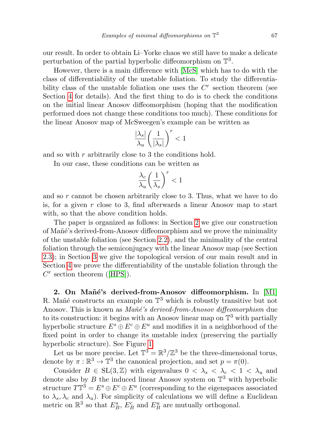our result. In order to obtain Li–Yorke chaos we still have to make a delicate perturbation of the partial hyperbolic diffeomorphism on  $\mathbb{T}^3$ .

However, there is a main difference with [\[McS\]](#page-33-4) which has to do with the class of differentiability of the unstable foliation. To study the differentiability class of the unstable foliation one uses the  $C<sup>r</sup>$  section theorem (see Section [4](#page-26-0) for details). And the first thing to do is to check the conditions on the initial linear Anosov diffeomorphism (hoping that the modification performed does not change these conditions too much). These conditions for the linear Anosov map of McSweegen's example can be written as

$$
\frac{|\lambda_s|}{\lambda_u}\bigg(\frac{1}{|\lambda_s|}\bigg)^r<1
$$

and so with r arbitrarily close to 3 the conditions hold.

In our case, these conditions can be written as

$$
\frac{\lambda_c}{\lambda_u}\bigg(\frac{1}{\lambda_s}\bigg)^r<1
$$

and so r cannot be chosen arbitrarily close to 3. Thus, what we have to do is, for a given  $r$  close to 3, find afterwards a linear Anosov map to start with, so that the above condition holds.

The paper is organized as follows: in Section [2](#page-4-0) we give our construction of Mañé's derived-from-Anosov diffeomorphism and we prove the minimality of the unstable foliation (see Section [2.2\)](#page-10-0), and the minimality of the central foliation through the semiconjugacy with the linear Anosov map (see Section [2.3\)](#page-13-0); in Section [3](#page-22-0) we give the topological version of our main result and in Section [4](#page-26-0) we prove the differentiability of the unstable foliation through the  $C<sup>r</sup>$  section theorem ([\[HPS\]](#page-33-7)).

<span id="page-4-0"></span>2. On Mañé's derived-from-Anosov diffeomorphism. In [\[M1\]](#page-33-6) R. Mañé constructs an example on  $\mathbb{T}^3$  which is robustly transitive but not Anosov. This is known as Mañé's derived-from-Anosov diffeomorphism due to its construction: it begins with an Anosov linear map on  $\mathbb{T}^3$  with partially hyperbolic structure  $E^s \oplus E^c \oplus E^u$  and modifies it in a neighborhood of the fixed point in order to change its unstable index (preserving the partially hyperbolic structure). See Figure [1.](#page-5-0)

Let us be more precise. Let  $\mathbb{T}^3 = \mathbb{R}^3/\mathbb{Z}^3$  be the three-dimensional torus, denote by  $\pi : \mathbb{R}^3 \to \mathbb{T}^3$  the canonical projection, and set  $p = \pi(0)$ .

Consider  $B \in SL(3, \mathbb{Z})$  with eigenvalues  $0 < \lambda_s < \lambda_c < 1 < \lambda_u$  and denote also by  $B$  the induced linear Anosov system on  $\mathbb{T}^3$  with hyperbolic structure  $T\mathbb{T}^3 = E^s \oplus E^c \oplus E^u$  (corresponding to the eigenspaces associated to  $\lambda_s$ ,  $\lambda_c$  and  $\lambda_u$ ). For simplicity of calculations we will define a Euclidean metric on  $\mathbb{R}^3$  so that  $E_B^s$ ,  $E_B^c$  and  $E_B^u$  are mutually orthogonal.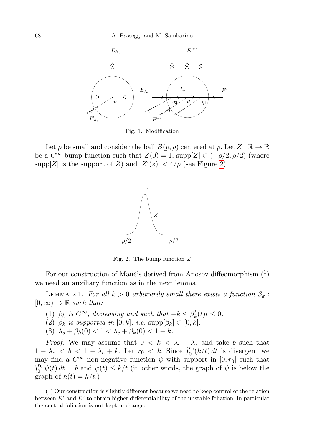

<span id="page-5-0"></span>Fig. 1. Modification

Let  $\rho$  be small and consider the ball  $B(p, \rho)$  centered at p. Let  $Z : \mathbb{R} \to \mathbb{R}$ be a  $C^{\infty}$  bump function such that  $Z(0) = 1$ , supp $[Z] \subset (-\rho/2, \rho/2)$  (where supp $[Z]$  is the support of Z) and  $|Z'(z)| < 4/\rho$  (see Figure [2\)](#page-5-1).



<span id="page-5-1"></span>Fig. 2. The bump function  $Z$ 

For our construction of Mañé's derived-from-Anosov diffeomorphism  $(1)$ we need an auxiliary function as in the next lemma.

<span id="page-5-3"></span>LEMMA 2.1. For all  $k > 0$  arbitrarily small there exists a function  $\beta_k$ :  $[0,\infty) \to \mathbb{R}$  such that:

- (1)  $\beta_k$  is  $C^{\infty}$ , decreasing and such that  $-k \leq \beta'_k(t)t \leq 0$ .
- (2)  $\beta_k$  is supported in [0, k], i.e.  $\text{supp}[\beta_k] \subset [0, k]$ .
- (3)  $\lambda_s + \beta_k(0) < 1 < \lambda_c + \beta_k(0) < 1 + k$ .

*Proof.* We may assume that  $0 < k < \lambda_c - \lambda_s$  and take b such that  $1 - \lambda_c < b < 1 - \lambda_c + k$ . Let  $r_0 < k$ . Since  $\int_0^{r_0} (k/t) dt$  is divergent we may find a  $C^{\infty}$  non-negative function  $\psi$  with support in  $[0, r_0]$  such that  $\int_0^{r_0} \psi(t) dt = b$  and  $\psi(t) \leq k/t$  (in other words, the graph of  $\psi$  is below the graph of  $h(t) = k/t$ .)

<span id="page-5-2"></span> $(1)$  Our construction is slightly different because we need to keep control of the relation between  $E^s$  and  $E^c$  to obtain higher differentiability of the unstable foliation. In particular the central foliation is not kept unchanged.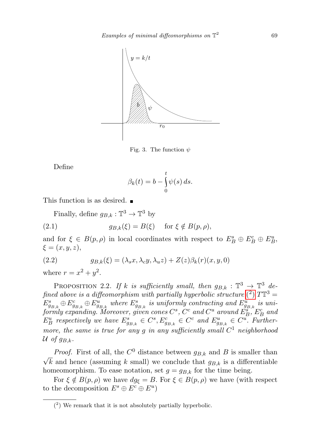

Fig. 3. The function  $\psi$ 

Define

<span id="page-6-1"></span>
$$
\beta_k(t) = b - \int_0^t \psi(s) \, ds.
$$

This function is as desired.

Finally, define  $g_{B,k}: \mathbb{T}^3 \to \mathbb{T}^3$  by

(2.1) 
$$
g_{B,k}(\xi) = B(\xi) \quad \text{for } \xi \notin B(p,\rho),
$$

and for  $\xi \in B(p, \rho)$  in local coordinates with respect to  $E_B^s \oplus E_B^c \oplus E_B^u$ ,  $\xi = (x, y, z),$ 

<span id="page-6-2"></span>(2.2) 
$$
g_{B,k}(\xi) = (\lambda_s x, \lambda_c y, \lambda_u z) + Z(z)\beta_k(r)(x, y, 0)
$$

where  $r = x^2 + y^2$ .

PROPOSITION 2.2. If k is sufficiently small, then  $g_{B,k} : \mathbb{T}^3 \to \mathbb{T}^3$  defined above is a diffeomorphism with partially hyperbolic structure  $(^2)$  $(^2)$   $T\mathbb{T}^3$  =  $E_{g_{B,k}}^s \oplus E_{g_{B,k}}^c \oplus E_{g_{B,k}}^u$  where  $E_{g_{B,k}}^s$  is uniformly contracting and  $E_{g_{B,k}}^u$  is uniformly expanding. Moreover, given cones  $C^s$ ,  $C^c$  and  $C^u$  around  $\tilde{E}_B^s$ ,  $E_B^c$  and  $E_B^u$  respectively we have  $E_{g_{B,k}}^s \in C^s, E_{g_{B,k}}^c \in C^c$  and  $E_{g_{B,k}}^u \in C^u$ . Furthermore, the same is true for any g in any sufficiently small  $C^1$  neighborhood U of  $g_{B,k}$ .

*Proof.* First of all, the  $C^0$  distance between  $g_{B,k}$  and B is smaller than √ k and hence (assuming k small) we conclude that  $g_{B,k}$  is a differentiable homeomorphism. To ease notation, set  $g = g_{B,k}$  for the time being.

For  $\xi \notin B(p, \rho)$  we have  $dg_{\xi} = B$ . For  $\xi \in B(p, \rho)$  we have (with respect to the decomposition  $E^s \oplus E^c \oplus E^u$ 

<span id="page-6-0"></span><sup>(</sup> 2 ) We remark that it is not absolutely partially hyperbolic.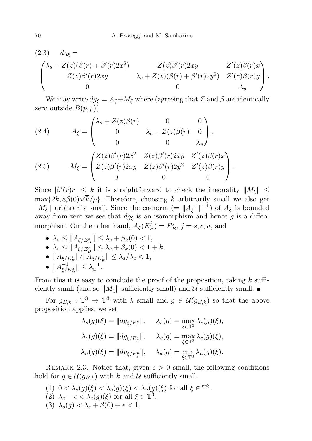$$
(2.3) \quad dg_{\xi} =
$$
\n
$$
\begin{pmatrix}\n\lambda_s + Z(z)(\beta(r) + \beta'(r)2x^2) & Z(z)\beta'(r)2xy & Z'(z)\beta(r)x \\
Z(z)\beta'(r)2xy & \lambda_c + Z(z)(\beta(r) + \beta'(r)2y^2) & Z'(z)\beta(r)y \\
0 & 0 & \lambda_u\n\end{pmatrix}.
$$

We may write  $dg_{\xi} = A_{\xi} + M_{\xi}$  where (agreeing that Z and  $\beta$  are identically zero outside  $B(p, \rho)$ 

(2.4) 
$$
A_{\xi} = \begin{pmatrix} \lambda_s + Z(z)\beta(r) & 0 & 0 \\ 0 & \lambda_c + Z(z)\beta(r) & 0 \\ 0 & 0 & \lambda_u \end{pmatrix},
$$

$$
(2.5) \qquad M_{\xi} = \begin{pmatrix} Z(z)\beta'(r)2x^2 & Z(z)\beta'(r)2xy & Z'(z)\beta(r)x \\ Z(z)\beta'(r)2xy & Z(z)\beta'(r)2y^2 & Z'(z)\beta(r)y \\ 0 & 0 & 0 \end{pmatrix}.
$$

Since  $|\beta'(r)r| \leq k$  it is straightforward to check the inequality  $||M_{\xi}|| \leq$ since  $|\rho(r)r| \leq k$  it is straightforward to check the inequality  $||m_{\xi}|| \leq$  max $\{2k, 8\beta(0)\sqrt{k}/\rho\}$ . Therefore, choosing k arbitrarily small we also get  $||M_{\xi}||$  arbitrarily small. Since the co-norm (=  $||A_{\xi}^{-1}||$  $\frac{1}{\xi}$ ||-1) of  $A_{\xi}$  is bounded away from zero we see that  $dg_{\xi}$  is an isomorphism and hence g is a diffeomorphism. On the other hand,  $A_{\xi}(E_{I}^{j})$  $E_B^j$ ) =  $E_I^j$  $j_B^j, j = s, c, u$ , and

- $\bullet \ \lambda_s \leq \|A_{\xi/E^s_B}\| \leq \lambda_s + \beta_k(0) < 1,$ •  $\lambda_c \leq \|A_{\xi/E_B^c}\| \leq \lambda_c + \beta_k(0) < 1 + k,$  $\bullet \ \Vert A_{\xi / E^s_B} \Vert / \Vert A_{\xi / E^c_B} \Vert \leq \lambda_s / \lambda_c < 1,$
- $||A^{-1}_{\xi/E^u_B}|| \leq \lambda_u^{-1}$ .

From this it is easy to conclude the proof of the proposition, taking  $k$  sufficiently small (and so  $||M_{\xi}||$  sufficiently small) and U sufficiently small.

For  $g_{B,k}: \mathbb{T}^3 \to \mathbb{T}^3$  with k small and  $g \in \mathcal{U}(g_{B,k})$  so that the above proposition applies, we set

$$
\lambda_s(g)(\xi) = ||dg_{\xi/E_g^c}||, \quad \lambda_s(g) = \max_{\xi \in \mathbb{T}^3} \lambda_s(g)(\xi),
$$
  

$$
\lambda_c(g)(\xi) = ||dg_{\xi/E_g^c}||, \quad \lambda_c(g) = \max_{\xi \in \mathbb{T}^3} \lambda_c(g)(\xi),
$$
  

$$
\lambda_u(g)(\xi) = ||dg_{\xi/E_g^u}||, \quad \lambda_u(g) = \min_{\xi \in \mathbb{T}^3} \lambda_u(g)(\xi).
$$

<span id="page-7-0"></span>REMARK 2.3. Notice that, given  $\epsilon > 0$  small, the following conditions hold for  $g \in \mathcal{U}(g_{B,k})$  with k and U sufficiently small:

- (1)  $0 < \lambda_s(g)(\xi) < \lambda_c(g)(\xi) < \lambda_u(g)(\xi)$  for all  $\xi \in \mathbb{T}^3$ . (2)  $\lambda_c - \epsilon < \lambda_c(g)(\xi)$  for all  $\xi \in \mathbb{T}^3$ .
- (3)  $\lambda_s(q) < \lambda_s + \beta(0) + \epsilon < 1$ .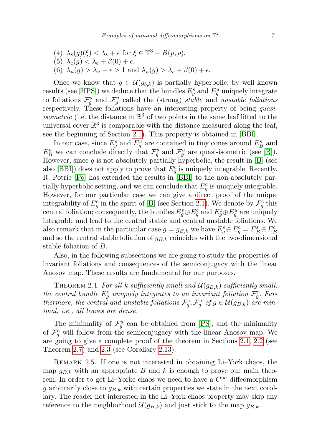- (4)  $\lambda_s(g)(\xi) < \lambda_s + \epsilon$  for  $\xi \in \mathbb{T}^3 B(p, \rho)$ .
- (5)  $\lambda_c(g) < \lambda_c + \beta(0) + \epsilon$ .
- (6)  $\lambda_u(g) > \lambda_u \epsilon > 1$  and  $\lambda_u(g) > \lambda_c + \beta(0) + \epsilon$ .

Once we know that  $g \in \mathcal{U}(g_{b,k})$  is partially hyperbolic, by well known results (see [\[HPS\]](#page-33-7)) we deduce that the bundles  $E_g^s$  and  $E_g^u$  uniquely integrate to foliations  $\mathcal{F}_{g}^{s}$  and  $\mathcal{F}_{g}^{u}$  called the (strong) stable and unstable foliations respectively. These foliations have an interesting property of being quasi*isometric* (i.e. the distance in  $\mathbb{R}^3$  of two points in the same leaf lifted to the universal cover  $\mathbb{R}^3$  is comparable with the distance measured along the leaf, see the beginning of Section [2.1\)](#page-9-0). This property is obtained in [\[BBI\]](#page-33-8).

In our case, since  $E_g^s$  and  $E_g^u$  are contained in tiny cones around  $E_B^s$  and  $E_B^u$  we can conclude directly that  $\mathcal{F}_g^s$  and  $\mathcal{F}_g^u$  are quasi-isometric (see [\[B\]](#page-33-9)). However, since  $g$  is not absolutely partially hyperbolic, the result in  $[B]$  (see also [\[BBI\]](#page-33-8)) does not apply to prove that  $E_g^c$  is uniquely integrable. Recently, R. Potrie [\[Po\]](#page-34-3) has extended the results in [\[BBI\]](#page-33-8) to the non-absolutely partially hyperbolic setting, and we can conclude that  $E_g^c$  is uniquely integrable. However, for our particular case we can give a direct proof of the unique integrability of  $E_g^c$  in the spirit of [\[B\]](#page-33-9) (see Section [2.1\)](#page-9-0). We denote by  $\mathcal{F}_g^c$  this central foliation; consequently, the bundles  $E_g^s \oplus E_g^c$  and  $E_g^c \oplus E_g^u$  are uniquely integrable and lead to the central stable and central unstable foliations. We also remark that in the particular case  $g = g_{B,k}$  we have  $E_g^s \oplus E_g^c = E_B^s \oplus E_B^c$ and so the central stable foliation of  $g_{B,k}$  coincides with the two-dimensional stable foliation of B.

Also, in the following subsections we are going to study the properties of invariant foliations and consequences of the semiconjugacy with the linear Anosov map. These results are fundamental for our purposes.

<span id="page-8-0"></span>THEOREM 2.4. For all k sufficiently small and  $\mathcal{U}(g_{B,k})$  sufficiently small, the central bundle  $E_g^c$  uniquely integrates to an invariant foliation  $\mathcal{F}_g^c$ . Furthermore, the central and unstable foliations  $\mathcal{F}_g^c$ ,  $\mathcal{F}_g^u$  of  $g \in \mathcal{U}(g_{B,k})$  are minimal, i.e., all leaves are dense.

The minimality of  $\mathcal{F}_{g}^{u}$  can be obtained from [\[PS\]](#page-34-4), and the minimality of  $\mathcal{F}^c_g$  will follow from the semiconjugacy with the linear Anosov map. We are going to give a complete proof of the theorem in Sections [2.1,](#page-9-0) [2.2](#page-10-0) (see Theorem [2.7\)](#page-10-1) and [2.3](#page-13-0) (see Corollary [2.13\)](#page-17-0).

Remark 2.5. If one is not interested in obtaining Li–York chaos, the map  $g_{B,k}$  with an appropriate B and k is enough to prove our main theorem. In order to get Li–Yorke chaos we need to have a  $C^{\infty}$  diffeomorphism g arbitrarily close to  $g_{B,k}$  with certain properties we state in the next corollary. The reader not interested in the Li–York chaos property may skip any reference to the neighborhood  $\mathcal{U}(g_{B,k})$  and just stick to the map  $g_{B,k}$ .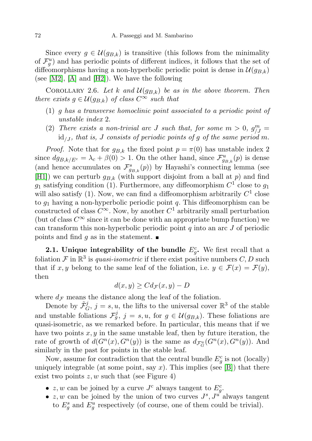Since every  $g \in \mathcal{U}(g_{B,k})$  is transitive (this follows from the minimality of  $\mathcal{F}^u_g$ ) and has periodic points of different indices, it follows that the set of diffeomorphisms having a non-hyperbolic periodic point is dense in  $\mathcal{U}(q_{B,k})$ (see [\[M2\]](#page-33-10), [\[A\]](#page-33-11) and [\[H2\]](#page-33-12)). We have the following

<span id="page-9-1"></span>COROLLARY 2.6. Let k and  $\mathcal{U}(g_{B,k})$  be as in the above theorem. Then there exists  $g \in \mathcal{U}(g_{B,k})$  of class  $C^{\infty}$  such that

- (1) g has a transverse homoclinic point associated to a periodic point of unstable index 2.
- (2) There exists a non-trivial arc J such that, for some  $m > 0$ ,  $g_{/J}^m =$  $id_{\Lambda}$ , that is, J consists of periodic points of g of the same period m.

*Proof.* Note that for  $g_{B,k}$  the fixed point  $p = \pi(0)$  has unstable index 2 since  $dg_{B,k/E^c} = \lambda_c + \beta(0) > 1$ . On the other hand, since  $\mathcal{F}_{g_{B,k}}^u(p)$  is dense (and hence accumulates on  $\mathcal{F}^s_{g_{B,k}}(p)$ ) by Hayashi's connecting lemma (see [\[H1\]](#page-33-13)) we can perturb  $g_{B,k}$  (with support disjoint from a ball at p) and find  $g_1$  satisfying condition (1). Furthermore, any diffeomorphism  $C^1$  close to  $g_1$ will also satisfy  $(1)$ . Now, we can find a diffeomorphism arbitrarily  $C<sup>1</sup>$  close to  $g_1$  having a non-hyperbolic periodic point q. This diffeomorphism can be constructed of class  $C^{\infty}$ . Now, by another  $C^1$  arbitrarily small perturbation (but of class  $C^{\infty}$  since it can be done with an appropriate bump function) we can transform this non-hyperbolic periodic point  $q$  into an arc  $J$  of periodic points and find g as in the statement.  $\blacksquare$ 

<span id="page-9-0"></span>**2.1.** Unique integrability of the bundle  $E_g^c$ . We first recall that a foliation F in  $\mathbb{R}^3$  is *quasi-isometric* if there exist positive numbers C, D such that if x, y belong to the same leaf of the foliation, i.e.  $y \in \mathcal{F}(x) = \mathcal{F}(y)$ , then

$$
d(x, y) \geq C d_{\mathcal{F}}(x, y) - D
$$

where  $d_{\mathcal{F}}$  means the distance along the leaf of the foliation.

Denote by  $\tilde{\mathcal{F}}_G^j$ ,  $j = s, u$ , the lifts to the universal cover  $\mathbb{R}^3$  of the stable and unstable foliations  $\mathcal{F}_{g}^{j}$ ,  $j = s, u$ , for  $g \in \mathcal{U}(g_{B,k})$ . These foliations are quasi-isometric, as we remarked before. In particular, this means that if we have two points  $x, y$  in the same unstable leaf, then by future iteration, the rate of growth of  $d(G^n(x), G^n(y))$  is the same as  $d_{\mathcal{F}_G^n}(G^n(x), G^n(y))$ . And similarly in the past for points in the stable leaf.

Now, assume for contradiction that the central bundle  $E_g^c$  is not (locally) uniquely integrable (at some point, say  $x$ ). This implies (see [\[B\]](#page-33-9)) that there exist two points  $z, w$  such that (see Figure 4)

- $z, w$  can be joined by a curve  $J<sup>c</sup>$  always tangent to  $E_g^c$ .
- $z, w$  can be joined by the union of two curves  $J^s, J^{u'}$  always tangent to  $E_g^s$  and  $E_g^u$  respectively (of course, one of them could be trivial).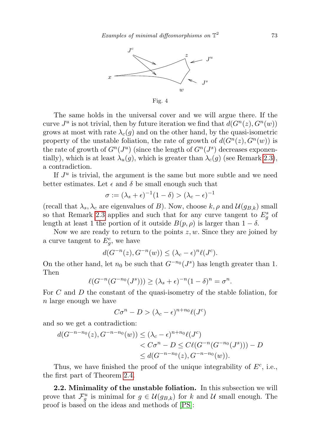

The same holds in the universal cover and we will argue there. If the curve  $J^u$  is not trivial, then by future iteration we find that  $d(G^n(z), G^n(w))$ grows at most with rate  $\lambda_c(g)$  and on the other hand, by the quasi-isometric property of the unstable foliation, the rate of growth of  $d(G^n(z), G^n(w))$  is the rate of growth of  $G^n(J^u)$  (since the length of  $G^n(J^s)$  decreases exponentially), which is at least  $\lambda_u(g)$ , which is greater than  $\lambda_c(g)$  (see Remark [2.3\)](#page-7-0), a contradiction.

If  $J^u$  is trivial, the argument is the same but more subtle and we need better estimates. Let  $\epsilon$  and  $\delta$  be small enough such that

$$
\sigma := (\lambda_s + \epsilon)^{-1} (1 - \delta) > (\lambda_c - \epsilon)^{-1}
$$

(recall that  $\lambda_s, \lambda_c$  are eigenvalues of B). Now, choose k,  $\rho$  and  $\mathcal{U}(g_{B,k})$  small so that Remark [2.3](#page-7-0) applies and such that for any curve tangent to  $E_g^s$  of length at least 1 the portion of it outside  $B(p, \rho)$  is larger than  $1 - \delta$ .

Now we are ready to return to the points  $z, w$ . Since they are joined by a curve tangent to  $E_g^c$ , we have

$$
d(G^{-n}(z), G^{-n}(w)) \le (\lambda_c - \epsilon)^n \ell(J^c).
$$

On the other hand, let  $n_0$  be such that  $G^{-n_0}(J^s)$  has length greater than 1. Then

$$
\ell(G^{-n}(G^{-n_0}(J^s))) \ge (\lambda_s + \epsilon)^{-n}(1 - \delta)^n = \sigma^n.
$$

For C and D the constant of the quasi-isometry of the stable foliation, for n large enough we have

$$
C\sigma^{n} - D > (\lambda_{c} - \epsilon)^{n+n_0} \ell(J^{c})
$$

and so we get a contradiction:

$$
d(G^{-n-n_0}(z), G^{-n-n_0}(w)) \le (\lambda_c - \epsilon)^{n+n_0} \ell(J^c)
$$
  
< 
$$
< C\sigma^n - D \le C\ell(G^{-n}(G^{-n_0}(J^s))) - D
$$
  

$$
\le d(G^{-n-n_0}(z), G^{-n-n_0}(w)).
$$

Thus, we have finished the proof of the unique integrability of  $E^c$ , i.e., the first part of Theorem [2.4.](#page-8-0)

<span id="page-10-1"></span><span id="page-10-0"></span>2.2. Minimality of the unstable foliation. In this subsection we will prove that  $\mathcal{F}_{g}^u$  is minimal for  $g \in \mathcal{U}(g_{B,k})$  for k and U small enough. The proof is based on the ideas and methods of [\[PS\]](#page-34-4):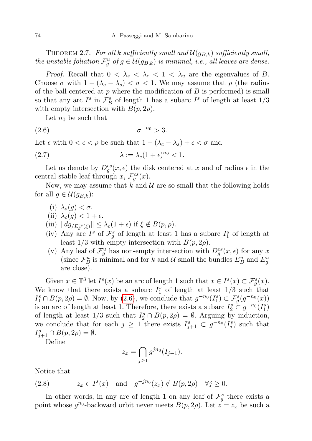THEOREM 2.7. For all k sufficiently small and  $\mathcal{U}(g_{B,k})$  sufficiently small, the unstable foliation  $\mathcal{F}_g^u$  of  $g \in \mathcal{U}(g_{B,k})$  is minimal, i.e., all leaves are dense.

*Proof.* Recall that  $0 < \lambda_s < \lambda_c < 1 < \lambda_u$  are the eigenvalues of B. Choose  $\sigma$  with  $1 - (\lambda_c - \lambda_s) < \sigma < 1$ . We may assume that  $\rho$  (the radius of the ball centered at  $p$  where the modification of  $B$  is performed) is small so that any arc $I^s$  in  $\mathcal F_B^s$  of length 1 has a subarc  $I^s_1$  of length at least  $1/3$ with empty intersection with  $B(p, 2\rho)$ .

<span id="page-11-1"></span><span id="page-11-0"></span>Let  $n_0$  be such that

$$
(2.6) \qquad \qquad \sigma^{-n_0} > 3.
$$

Let  $\epsilon$  with  $0 < \epsilon < \rho$  be such that  $1 - (\lambda_c - \lambda_s) + \epsilon < \sigma$  and

(2.7) 
$$
\lambda := \lambda_c (1 + \epsilon)^{n_0} < 1.
$$

Let us denote by  $D_g^{cs}(x, \epsilon)$  the disk centered at x and of radius  $\epsilon$  in the central stable leaf through x,  $\mathcal{F}_g^{cs}(x)$ .

Now, we may assume that k and  $\mathcal U$  are so small that the following holds for all  $g \in \mathcal{U}(g_{B,k})$ :

- (i)  $\lambda_s(q) < \sigma$ .
- (ii)  $\lambda_c(g) < 1 + \epsilon$ .
- (iii)  $||dg_{/E_g^{cs}(\xi)}|| \leq \lambda_c(1+\epsilon)$  if  $\xi \notin B(p, \rho)$ .
- (iv) Any arc  $I^s$  of  $\mathcal{F}^s_g$  of length at least 1 has a subarc  $I^s_1$  of length at least  $1/3$  with empty intersection with  $B(p, 2\rho)$ .
- (v) Any leaf of  $\mathcal{F}_g^u$  has non-empty intersection with  $D_g^{cs}(x, \epsilon)$  for any x (since  $\mathcal{F}_{B}^{u}$  is minimal and for k and U small the bundles  $E_{B}^{u}$  and  $E_{g}^{u}$ are close).

Given  $x \in \mathbb{T}^3$  let  $I^s(x)$  be an arc of length 1 such that  $x \in I^s(x) \subset \mathcal{F}^s_g(x)$ . We know that there exists a subarc  $I_1^s$  of length at least  $1/3$  such that  $I_1^s \cap B(p, 2\rho) = \emptyset$ . Now, by [\(2.6\)](#page-11-0), we conclude that  $g^{-n_0}(I_1^s) \subset \mathcal{F}^s_g(g^{-n_0}(x))$ is an arc of length at least 1. Therefore, there exists a subarc  $I_2^s \subset g^{-n_0}(I_1^s)$ of length at least  $1/3$  such that  $I_2^s \cap B(p, 2\rho) = \emptyset$ . Arguing by induction, we conclude that for each  $j \geq 1$  there exists  $I_{j+1}^s \subset g^{-n_0}(I_j^s)$  such that  $I_{j+1}^s \cap B(p, 2\rho) = \emptyset.$ 

Define

$$
z_x = \bigcap_{j\geq 1} g^{jn_0}(I_{j+1}).
$$

Notice that

(2.8) 
$$
z_x \in I^s(x)
$$
 and  $g^{-jn_0}(z_x) \notin B(p, 2\rho)$   $\forall j \ge 0$ .

In other words, in any arc of length 1 on any leaf of  $\mathcal{F}^s_g$  there exists a point whose  $g^{n_0}$ -backward orbit never meets  $B(p, 2\rho)$ . Let  $z = z_x$  be such a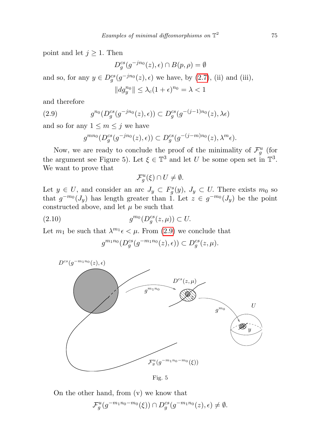point and let  $j \geq 1$ . Then

$$
D_g^{cs}(g^{-jn_0}(z), \epsilon) \cap B(p, \rho) = \emptyset
$$

and so, for any  $y \in D_g^{cs}(g^{-jn_0}(z), \epsilon)$  we have, by  $(2.7)$ , (ii) and (iii),

$$
||dg_y^{n_0}|| \leq \lambda_c (1+\epsilon)^{n_0} = \lambda < 1
$$

and therefore

(2.9) 
$$
g^{n_0}(D_g^{cs}(g^{-jn_0}(z), \epsilon)) \subset D_g^{cs}(g^{-(j-1)n_0}(z), \lambda \epsilon)
$$

and so for any  $1 \leq m \leq j$  we have

<span id="page-12-0"></span>
$$
g^{mn_0}(D_g^{cs}(g^{-jn_0}(z),\epsilon)) \subset D_g^{cs}(g^{-(j-m)n_0}(z),\lambda^m\epsilon).
$$

Now, we are ready to conclude the proof of the minimality of  $\mathcal{F}_g^u$  (for the argument see Figure 5). Let  $\xi \in \mathbb{T}^3$  and let U be some open set in  $\mathbb{T}^3$ . We want to prove that

$$
\mathcal{F}_g^u(\xi) \cap U \neq \emptyset.
$$

Let  $y \in U$ , and consider an arc  $J_y \subset F_g^s(y)$ ,  $J_y \subset U$ . There exists  $m_0$  so that  $g^{-m_0}(J_y)$  has length greater than 1. Let  $z \in g^{-m_0}(J_y)$  be the point constructed above, and let  $\mu$  be such that

$$
(2.10) \t\t g^{m_0}(D_g^{cs}(z,\mu)) \subset U.
$$

Let  $m_1$  be such that  $\lambda^{m_1} \epsilon < \mu$ . From [\(2.9\)](#page-12-0) we conclude that

<span id="page-12-1"></span>
$$
g^{m_1n_0}(D_g^{cs}(g^{-m_1n_0}(z),\epsilon)) \subset D_g^{cs}(z,\mu).
$$



Fig. 5

On the other hand, from (v) we know that

$$
\mathcal{F}_g^u(g^{-m_1n_0-m_0}(\xi)) \cap D_g^{cs}(g^{-m_1n_0}(z), \epsilon) \neq \emptyset.
$$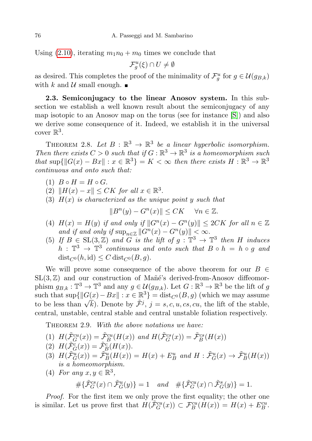Using [\(2.10\)](#page-12-1), iterating  $m_1n_0 + m_0$  times we conclude that

$$
\mathcal{F}_g^u(\xi) \cap U \neq \emptyset
$$

as desired. This completes the proof of the minimality of  $\mathcal{F}_g^u$  for  $g \in \mathcal{U}(g_{B,k})$ with k and  $\mathcal U$  small enough.

<span id="page-13-0"></span>2.3. Semiconjugacy to the linear Anosov system. In this subsection we establish a well known result about the semiconjugacy of any map isotopic to an Anosov map on the torus (see for instance [\[S\]](#page-34-5)) and also we derive some consequence of it. Indeed, we establish it in the universal cover  $\mathbb{R}^3$ .

THEOREM 2.8. Let  $B : \mathbb{R}^3 \to \mathbb{R}^3$  be a linear hyperbolic isomorphism. Then there exists  $C > 0$  such that if  $G : \mathbb{R}^3 \to \mathbb{R}^3$  is a homeomorphism such that  $\sup\{\|G(x) - Bx\| : x \in \mathbb{R}^3\} = K < \infty$  then there exists  $H : \mathbb{R}^3 \to \mathbb{R}^3$ continuous and onto such that:

- $(1)$   $B \circ H = H \circ G$ .
- (2)  $||H(x) x|| \leq CK$  for all  $x \in \mathbb{R}^3$ .
- (3)  $H(x)$  is characterized as the unique point y such that

$$
||B^n(y) - G^n(x)|| \leq CK \quad \forall n \in \mathbb{Z}.
$$

- (4)  $H(x) = H(y)$  if and only if  $||G^n(x) G^n(y)|| \leq 2CK$  for all  $n \in \mathbb{Z}$ and if and only if  $\sup_{n\in\mathbb{Z}} ||G^n(x) - G^n(y)|| < \infty$ .
- (5) If  $B \in SL(3, \mathbb{Z})$  and G is the lift of  $g : \mathbb{T}^3 \to \mathbb{T}^3$  then H induces  $h : \mathbb{T}^3 \to \mathbb{T}^3$  continuous and onto such that  $B \circ h = h \circ g$  and  $dist_{C^0}(h, id) \leq C dist_{C^0}(B, q).$

We will prove some consequence of the above theorem for our  $B \in$  $SL(3, \mathbb{Z})$  and our construction of Mañé's derived-from-Anosov diffeomorphism  $g_{B,k} : \mathbb{T}^3 \to \mathbb{T}^3$  and any  $g \in \mathcal{U}(g_{B,k})$ . Let  $G : \mathbb{R}^3 \to \mathbb{R}^3$  be the lift of g such that  $\sup\{\|G(x)-Bx\| : x \in \mathbb{R}^3\} = \text{dist}_{C^0}(B, g)$  (which we may assume such that  $\sup\{\|\mathbf{G}(x)-\mathbf{D}x\|: x \in \mathbb{R}^*\} = \text{dist}_{C^0}(D, g)$  (which we may assume<br>to be less than  $\sqrt{k}$ ). Denote by  $\tilde{\mathcal{F}}^j$ ,  $j = s, c, u, cs, cu$ , the lift of the stable, central, unstable, central stable and central unstable foliation respectively.

THEOREM 2.9. With the above notations we have:

(1)  $H(\tilde{\mathcal{F}}_G^{cu}(x)) = \tilde{\mathcal{F}}_B^{cu}(H(x))$  and  $H(\tilde{\mathcal{F}}_G^{cs}(x)) = \tilde{\mathcal{F}}_B^{cs}(H(x))$ 

(2) 
$$
H(\tilde{\mathcal{F}}_G^c(x)) = \tilde{\mathcal{F}}_B^c(H(x)).
$$

- (3)  $H(\tilde{\mathcal{F}}_G^u(x)) = \tilde{\mathcal{F}}_B^u(H(x)) = H(x) + E_B^u$  and  $H : \tilde{\mathcal{F}}_G^u(x) \to \tilde{\mathcal{F}}_B^u(H(x))$ is a homeomorphism.
- (4) For any  $x, y \in \mathbb{R}^3$ ,  $\#\{\tilde{\mathcal{F}}_G^{cs}(x) \cap \tilde{\mathcal{F}}_G^{u}(y)\} = 1 \quad and \quad \#\{\tilde{\mathcal{F}}_G^{cu}(x) \cap \tilde{\mathcal{F}}_G^{s}(y)\} = 1.$

Proof. For the first item we only prove the first equality; the other one is similar. Let us prove first that  $H(\tilde{\mathcal{F}}_G^{cu}(x)) \subset \mathcal{F}_B^{cu}(\tilde{H}(x)) = H(x) + E_B^{cu}$ .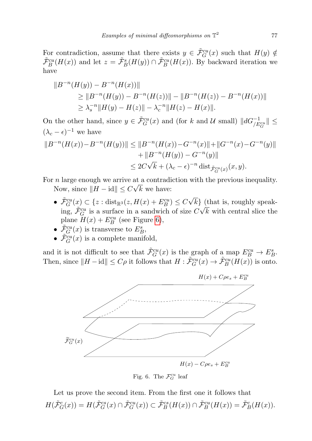For contradiction, assume that there exists  $y \in \tilde{\mathcal{F}}_G^{cu}(x)$  such that  $H(y) \notin$  $\tilde{\mathcal{F}}^{cu}_B(H(x))$  and let  $z = \tilde{\mathcal{F}}^s_B(H(y)) \cap \tilde{\mathcal{F}}^{cu}_B(H(x))$ . By backward iteration we have

$$
||B^{-n}(H(y)) - B^{-n}(H(x))||
$$
  
\n
$$
\ge ||B^{-n}(H(y)) - B^{-n}(H(z))|| - ||B^{-n}(H(z)) - B^{-n}(H(x))||
$$
  
\n
$$
\ge \lambda_s^{-n} ||H(y) - H(z)|| - \lambda_c^{-n} ||H(z) - H(x)||.
$$

On the other hand, since  $y \in \tilde{\mathcal{F}}_G^{cu}(x)$  and (for k and U small)  $||dG^{-1}_{/E_G^{cu}}|| \leq$  $(\lambda_c - \epsilon)^{-1}$  we have

$$
||B^{-n}(H(x)) - B^{-n}(H(y))|| \le ||B^{-n}(H(x)) - G^{-n}(x)|| + ||G^{-n}(x) - G^{-n}(y)||
$$
  
 
$$
+ ||B^{-n}(H(y)) - G^{-n}(y)||
$$
  
 
$$
\le 2C\sqrt{k} + (\lambda_c - \epsilon)^{-n} \text{ dist}_{\tilde{\mathcal{F}}_G^{cu}(x)}(x, y).
$$

For *n* large enough we arrive at a contradiction with the previous inequality.

Now, since  $||H - id|| \leq C \sqrt{k}$  we have:

- $\tilde{\mathcal{F}}_G^{cu}(x) \subset \{z : \text{dist}_{\mathbb{R}^3}(z, H(x) + E_B^{cu}) \leq C\}$ √  $k$ } (that is, roughly speaking,  $\tilde{\mathcal{F}}_G^{cu}$  is a surface in a sandwich of size  $C\sqrt{k}$  with central slice the plane  $H(x) + E_B^{cu}$  (see Figure [6\)](#page-14-0),
- $\tilde{\mathcal{F}}_G^{cu}(x)$  is transverse to  $E^s_B$ ,
- $\tilde{\mathcal{F}}_G^{cu}(x)$  is a complete manifold,

and it is not difficult to see that  $\tilde{\mathcal{F}}_G^{cu}(x)$  is the graph of a map  $E_B^{cu} \to E_B^s$ . Then, since  $||H - id|| \leq C\rho$  it follows that  $H : \tilde{\mathcal{F}}_G^{cu}(x) \to \tilde{\mathcal{F}}_B^{cu}(H(x))$  is onto.



<span id="page-14-0"></span>Fig. 6. The  $\mathcal{F}_G^{cu}$  leaf

Let us prove the second item. From the first one it follows that  $H(\tilde{\mathcal{F}}_G^c(x)) = H(\tilde{\mathcal{F}}_G^{cs}(x) \cap \tilde{\mathcal{F}}_G^{cu}(x)) \subset \tilde{\mathcal{F}}_B^{cs}(H(x)) \cap \tilde{\mathcal{F}}_B^{cu}(H(x)) = \tilde{\mathcal{F}}_B^{c}(H(x)).$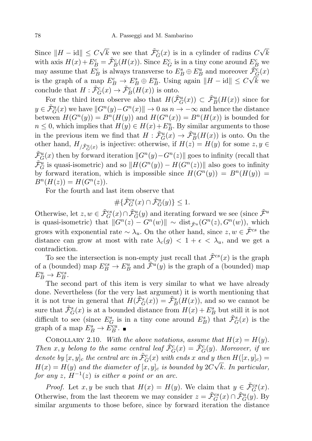Since  $||H - id|| \leq C$  $\sqrt{k}$  we see that  $\tilde{\mathcal{F}}_G^c(x)$  is in a cylinder of radius C  $√($ k with axis  $H(x) + E_B^c = \tilde{\mathcal{F}}_B^c(H(x))$ . Since  $E_G^c$  is in a tiny cone around  $E_B^c$  we may assume that  $E_B^c$  is always transverse to  $E_B^s \oplus E_B^u$  and moreover  $\tilde{\mathcal{F}}_G^c(x)$ is the graph of a map  $E_B^c \to E_B^s \oplus E_B^u$ . Using again  $||H - id|| \leq C\sqrt{k}$  we conclude that  $H : \tilde{\mathcal{F}}_G^c(x) \to \tilde{\mathcal{F}}_B^c(H(x))$  is onto.

For the third item observe also that  $H(\tilde{\mathcal{F}}_G^u(x)) \subset \tilde{\mathcal{F}}_B^u(H(x))$  since for  $y \in \tilde{\mathcal{F}}_G^u(x)$  we have  $||G^n(y) - G^n(x)|| \to 0$  as  $n \to -\infty$  and hence the distance between  $H(G^n(y)) = B^n(H(y))$  and  $H(G^n(x)) = B^n(H(x))$  is bounded for  $n \leq 0$ , which implies that  $H(y) \in H(x) + E_B^u$ . By similar arguments to those in the previous item we find that  $H: \tilde{\mathcal{F}}_G^u(x) \to \tilde{\mathcal{F}}_B^u(H(x))$  is onto. On the other hand,  $H_{/\tilde{\mathcal{F}}^u_G(x)}$  is injective: otherwise, if  $H(z) = H(y)$  for some  $z, y \in$  $\tilde{\mathcal{F}}_{G}^{u}(x)$  then by forward iteration  $||G^{n}(y)-G^{n}(z)||$  goes to infinity (recall that  $\tilde{\mathcal{F}}_G^u$  is quasi-isometric) and so  $||H(G^n(y)) - H(G^n(z))||$  also goes to infinity by forward iteration, which is impossible since  $H(G^{n}(y)) = B^{n}(H(y)) =$  $B^{n}(H(z)) = H(G^{n}(z)).$ 

For the fourth and last item observe that

$$
\#\{\tilde{\mathcal{F}}_G^{cs}(x)\cap \tilde{\mathcal{F}}_G^{u}(y)\}\leq 1.
$$

Otherwise, let  $z, w \in \tilde{\mathcal{F}}_G^{cs}(x) \cap \tilde{\mathcal{F}}_G^{u}(y)$  and iterating forward we see (since  $\tilde{\mathcal{F}}^u$ is quasi-isometric) that  $||G^n(z) - G^n(w)|| \sim \text{dist}_{\tilde{\mathcal{F}}^u}(G^n(z), G^n(w)),$  which grows with exponential rate  $\sim \lambda_u$ . On the other hand, since  $z, w \in \tilde{\mathcal{F}}^{cs}$  the distance can grow at most with rate  $\lambda_c(g)$  <  $1 + \epsilon < \lambda_u$ , and we get a contradiction.

To see the intersection is non-empty just recall that  $\tilde{\mathcal{F}}^{cs}(x)$  is the graph of a (bounded) map  $E_B^{cs} \to E_B^u$  and  $\tilde{\mathcal{F}}^u(y)$  is the graph of a (bounded) map  $E_B^u \rightarrow E_B^{cs}.$ 

The second part of this item is very similar to what we have already done. Nevertheless (for the very last argument) it is worth mentioning that it is not true in general that  $H(\tilde{\mathcal{F}}_G^s(x)) = \tilde{\mathcal{F}}_B^s(H(x))$ , and so we cannot be sure that  $\tilde{\mathcal{F}}_G^s(x)$  is at a bounded distance from  $H(x) + E_B^s$  but still it is not difficult to see (since  $E_G^s$  is in a tiny cone around  $E_B^s$ ) that  $\tilde{\mathcal{F}}_G^s(x)$  is the graph of a map  $E_B^s \to E_B^{cu}$ .

COROLLARY 2.10. With the above notations, assume that  $H(x) = H(y)$ . Then x, y belong to the same central leaf  $\tilde{\mathcal{F}}_G^c(x) = \tilde{\mathcal{F}}_G^c(y)$ . Moreover, if we denote by  $[x, y]_c$  the central arc in  $\tilde{\mathcal{F}}_G^c(x)$  with ends x and y then  $H([x, y]_c) =$  $H(x) = H(y)$  and the diameter of  $[x, y]_c$  is bounded by  $2C\sqrt{k}$ . In particular, for any  $z$ ,  $H^{-1}(z)$  is either a point or an arc.

*Proof.* Let  $x, y$  be such that  $H(x) = H(y)$ . We claim that  $y \in \tilde{\mathcal{F}}_G^{cs}(x)$ . Otherwise, from the last theorem we may consider  $z = \tilde{\mathcal{F}}_G^{cs}(x) \cap \tilde{\mathcal{F}}_G^{u}(y)$ . By similar arguments to those before, since by forward iteration the distance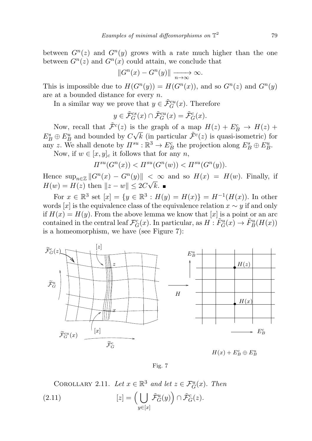between  $G<sup>n</sup>(z)$  and  $G<sup>n</sup>(y)$  grows with a rate much higher than the one between  $G<sup>n</sup>(z)$  and  $G<sup>n</sup>(x)$  could attain, we conclude that

$$
||G^n(x) - G^n(y)|| \xrightarrow[n \to \infty]{} \infty.
$$

This is impossible due to  $H(G^n(y)) = H(G^n(x))$ , and so  $G^n(z)$  and  $G^n(y)$ are at a bounded distance for every n.

In a similar way we prove that  $y \in \tilde{\mathcal{F}}_G^{cu}(x)$ . Therefore

$$
y \in \tilde{\mathcal{F}}_G^{cs}(x) \cap \tilde{\mathcal{F}}_G^{cu}(x) = \tilde{\mathcal{F}}_G^{c}(x).
$$

Now, recall that  $\tilde{\mathcal{F}}^{c}(z)$  is the graph of a map  $H(z) + E_B^c \rightarrow H(z) + \sum_{\alpha=1}^{\infty}$  $E_B^s \oplus E_B^u$  and bounded by  $C\sqrt{k}$  (in particular  $\tilde{\mathcal{F}}(z)$  is quasi-isometric) for any z. We shall denote by  $\Pi^{su}: \mathbb{R}^3 \to E_B^c$  the projection along  $E_B^s \oplus E_B^u$ .

Now, if  $w \in [x, y]_c$  it follows that for any n,

$$
H^{su}(G^n(x)) < H^{su}(G^n(w)) < H^{su}(G^n(y)).
$$

Hence  $\sup_{n\in\mathbb{Z}}||G^n(x)-G^n(y)|| < \infty$  and so  $H(x) = H(w)$ . Finally, if  $H(w) = H(z)$  then  $||z - w|| \leq 2C\sqrt{k}$ .

For  $x \in \mathbb{R}^3$  set  $[x] = \{y \in \mathbb{R}^3 : H(y) = H(x)\} = H^{-1}(H(x))$ . In other words [x] is the equivalence class of the equivalence relation  $x \sim y$  if and only if  $H(x) = H(y)$ . From the above lemma we know that  $[x]$  is a point or an arc contained in the central leaf  $\mathcal{F}_G^c(x)$ . In particular, as  $H: \tilde{F}_G^u(x) \to \tilde{F}_B^u(H(x))$ is a homeomorphism, we have (see Figure 7):



 $H(x) + E_B^c \oplus E_B^u$ 

Fig. 7

COROLLARY 2.11. Let  $x \in \mathbb{R}^3$  and let  $z \in \mathcal{F}_G^u(x)$ . Then  $[2.11]$   $[z] = ( \ ]$  $y \in [x]$  $\tilde{\mathcal{F}}_G^u(y)\Big)\cap \tilde{\mathcal{F}}_G^c(z).$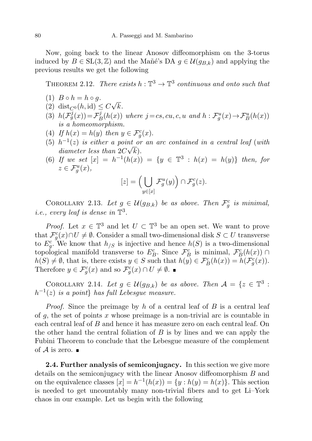Now, going back to the linear Anosov diffeomorphism on the 3-torus induced by  $B \in SL(3, \mathbb{Z})$  and the Mañé's DA  $g \in \mathcal{U}(g_{B,k})$  and applying the previous results we get the following

THEOREM 2.12. There exists  $h: \mathbb{T}^3 \to \mathbb{T}^3$  continuous and onto such that

- (1)  $B \circ h = h \circ g$ .
- (2) dist<sub> $C^0$ </sub> $(h, id) \leq C$ √ k.
- (3)  $h(\mathcal{F}_g^j(x)) = \mathcal{F}_g^j$  $\mathcal{F}_B^j(h(x))$  where  $j = cs, cu, c, u$  and  $h: \mathcal{F}_g^u(x) \rightarrow \mathcal{F}_B^u(h(x))$ is a homeomorphism.
- (4) If  $h(x) = h(y)$  then  $y \in \mathcal{F}_g^c(x)$ .
- (5)  $h^{-1}(z)$  is either a point or an arc contained in a central leaf (with diameter less than  $2C\sqrt{k}$ .
- (6) If we set  $[x] = h^{-1}(h(x)) = \{y \in \mathbb{T}^3 : h(x) = h(y)\}\$  then, for  $z \in \mathcal{F}_g^u(x)$ ,

$$
[z] = \left(\bigcup_{y \in [x]} \mathcal{F}_g^u(y)\right) \cap \mathcal{F}_g^c(z).
$$

<span id="page-17-0"></span>COROLLARY 2.13. Let  $g \in \mathcal{U}(g_{B,k})$  be as above. Then  $\mathcal{F}_{g}^{c}$  is minimal, *i.e.*, every leaf is dense in  $\mathbb{T}^3$ .

*Proof.* Let  $x \in \mathbb{T}^3$  and let  $U \subset \mathbb{T}^3$  be an open set. We want to prove that  $\mathcal{F}^c_g(x) \cap U \neq \emptyset$ . Consider a small two-dimensional disk  $S \subset U$  transverse to  $E_g^c$ . We know that  $h_{\beta}$  is injective and hence  $h(S)$  is a two-dimensional topological manifold transverse to  $E_B^c$ . Since  $\mathcal{F}_B^c$  is minimal,  $\mathcal{F}_B^c(h(x)) \cap$  $h(S) \neq \emptyset$ , that is, there exists  $y \in S$  such that  $h(y) \in \mathcal{F}_{B}^{c}(h(x)) = h(\mathcal{F}_{g}^{c}(x)).$ Therefore  $y \in \mathcal{F}^c_g(x)$  and so  $\mathcal{F}^c_g(x) \cap U \neq \emptyset$ .

<span id="page-17-2"></span>COROLLARY 2.14. Let  $g \in \mathcal{U}(g_{B,k})$  be as above. Then  $\mathcal{A} = \{z \in \mathbb{T}^3 :$  $h^{-1}(z)$  is a point} has full Lebesgue measure.

*Proof.* Since the preimage by h of a central leaf of  $B$  is a central leaf of  $g$ , the set of points x whose preimage is a non-trivial arc is countable in each central leaf of B and hence it has measure zero on each central leaf. On the other hand the central foliation of  $B$  is by lines and we can apply the Fubini Theorem to conclude that the Lebesgue measure of the complement of  $\mathcal A$  is zero.  $\blacksquare$ 

<span id="page-17-1"></span>2.4. Further analysis of semiconjugacy. In this section we give more details on the semiconjugacy with the linear Anosov diffeomorphism B and on the equivalence classes  $[x] = h^{-1}(h(x)) = \{y : h(y) = h(x)\}\.$  This section is needed to get uncountably many non-trivial fibers and to get Li–York chaos in our example. Let us begin with the following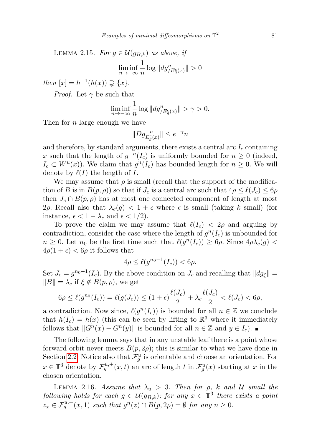LEMMA 2.15. For  $g \in \mathcal{U}(g_{B,k})$  as above, if

$$
\liminf_{n \to -\infty} \frac{1}{n} \log \| dg_{/E_g^c(x)}^n \| > 0
$$

then  $[x] = h^{-1}(h(x)) \supsetneq \{x\}.$ 

*Proof.* Let  $\gamma$  be such that

$$
\liminf_{n \to -\infty} \frac{1}{n} \log ||dg_{/E_g^c(x)}^n|| > \gamma > 0.
$$

Then for *n* large enough we have

$$
\|Dg^{-n}_{E^c_g(x)}\|\leq e^{-\gamma}n
$$

and therefore, by standard arguments, there exists a central arc  $I_c$  containing x such that the length of  $g^{-n}(I_c)$  is uniformly bounded for  $n \geq 0$  (indeed,  $I_c \subset W^u(x)$ . We claim that  $g^n(I_c)$  has bounded length for  $n \geq 0$ . We will denote by  $\ell(I)$  the length of I.

We may assume that  $\rho$  is small (recall that the support of the modification of B is in  $B(p, \rho)$  so that if  $J_c$  is a central arc such that  $4\rho \leq \ell(J_c) \leq 6\rho$ then  $J_c \cap B(p, \rho)$  has at most one connected component of length at most 2ρ. Recall also that  $\lambda_c(g) < 1 + \epsilon$  where  $\epsilon$  is small (taking k small) (for instance,  $\epsilon < 1 - \lambda_c$  and  $\epsilon < 1/2$ .

To prove the claim we may assume that  $\ell(I_c) < 2\rho$  and arguing by contradiction, consider the case where the length of  $g^{n}(I_c)$  is unbounded for  $n \geq 0$ . Let  $n_0$  be the first time such that  $\ell(g^n(I_c)) \geq 6\rho$ . Since  $4\rho\lambda_c(g)$  $4\rho(1+\epsilon) < 6\rho$  it follows that

$$
4\rho \leq \ell(g^{n_0-1}(I_c)) < 6\rho.
$$

Set  $J_c = g^{n_0-1}(I_c)$ . By the above condition on  $J_c$  and recalling that  $||dg_{\xi}|| =$  $||B|| = \lambda_c$  if  $\xi \notin B(p, \rho)$ , we get

$$
6\rho \leq \ell(g^{n_0}(I_c)) = \ell(g(J_c)) \leq (1+\epsilon)\frac{\ell(J_c)}{2} + \lambda_c \frac{\ell(J_c)}{2} < \ell(J_c) < 6\rho,
$$

a contradiction. Now since,  $\ell(g^n(I_c))$  is bounded for all  $n \in \mathbb{Z}$  we conclude that  $h(I_c) = h(x)$  (this can be seen by lifting to  $\mathbb{R}^3$  where it immediately follows that  $||G^n(x) - G^n(y)||$  is bounded for all  $n \in \mathbb{Z}$  and  $y \in I_c$ .

The following lemma says that in any unstable leaf there is a point whose forward orbit never meets  $B(p, 2\rho)$ ; this is similar to what we have done in Section [2.2.](#page-10-0) Notice also that  $\mathcal{F}_{g}^{u}$  is orientable and choose an orientation. For  $x \in \mathbb{T}^3$  denote by  $\mathcal{F}_g^{u,+}(x,t)$  an arc of length t in  $\mathcal{F}_g^u(x)$  starting at x in the chosen orientation.

LEMMA 2.16. Assume that  $\lambda_u > 3$ . Then for  $\rho$ , k and U small the following holds for each  $g \in \mathcal{U}(g_{B,k})$ : for any  $x \in \mathbb{T}^3$  there exists a point  $z_x \in \mathcal{F}_g^{u,+}(x,1)$  such that  $g^n(z) \cap B(p,2\rho) = \emptyset$  for any  $n \geq 0$ .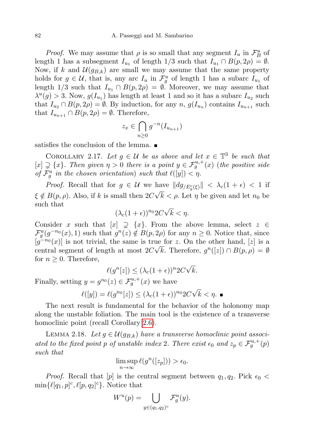*Proof.* We may assume that  $\rho$  is so small that any segment  $I_u$  in  $\mathcal{F}_{B}^{u}$  of length 1 has a subsegment  $I_{u_1}$  of length  $1/3$  such that  $I_{u_1} \cap B(p, 2\rho) = \emptyset$ . Now, if k and  $\mathcal{U}(g_{B,k})$  are small we may assume that the same property holds for  $g \in \mathcal{U}$ , that is, any arc  $I_u$  in  $\mathcal{F}^u_g$  of length 1 has a subarc  $I_{u_1}$  of length 1/3 such that  $I_{u_1} \cap B(p, 2\rho) = \emptyset$ . Moreover, we may assume that  $\lambda^u(g) > 3$ . Now,  $g(I_{u_1})$  has length at least 1 and so it has a subarc  $I_{u_2}$  such that  $I_{u_2} \cap B(p, 2\rho) = \emptyset$ . By induction, for any  $n, g(I_{u_n})$  contains  $I_{u_{n+1}}$  such that  $I_{u_{n+1}} \cap B(p, 2\rho) = \emptyset$ . Therefore,

$$
z_x \in \bigcap_{n \ge 0} g^{-n}(I_{u_{n+1}})
$$

satisfies the conclusion of the lemma.  $\blacksquare$ 

COROLLARY 2.17. Let  $g \in \mathcal{U}$  be as above and let  $x \in \mathbb{T}^3$  be such that  $[x] \supsetneq \{x\}$ . Then given  $\eta > 0$  there is a point  $y \in \mathcal{F}_{g}^{u,+}(x)$  (the positive side of  $\mathcal{F}_{g}^{u}$  in the chosen orientation) such that  $\ell([y]) < \eta$ .

*Proof.* Recall that for  $g \in \mathcal{U}$  we have  $||dg_{/E_g^c(\xi)}|| < \lambda_c(1+\epsilon) < 1$  if  $\xi \notin B(p, \rho)$ . Also, if k is small then  $2C\sqrt{k} < \rho$ . Let  $\eta$  be given and let  $n_0$  be such that √

$$
(\lambda_c(1+\epsilon))^{n_0}2C\sqrt{k}<\eta.
$$

Consider x such that  $[x] \supsetneq \{x\}$ . From the above lemma, select  $z \in \mathbb{R}$  $\mathcal{F}_{g}^{u}(g^{-n_0}(x), 1)$  such that  $g^{n}(z) \notin B(p, 2\rho)$  for any  $n \geq 0$ . Notice that, since  $[g^{-n_0}(x)]$  is not trivial, the same is true for z. On the other hand, [z] is a central segment of length at most  $2C\sqrt{k}$ . Therefore,  $g^{n}([z]) \cap B(p, \rho) = \emptyset$ for  $n \geq 0$ . Therefore, √

$$
\ell(g^n[z]) \le (\lambda_c(1+\epsilon))^n 2C\sqrt{k}.
$$

Finally, setting  $y = g^{n_0}(z) \in \mathcal{F}_g^{u,+}(x)$  we have

$$
\ell([y]) = \ell(g^{n_0}[z]) \le (\lambda_c(1+\epsilon))^{n_0} 2C\sqrt{k} < \eta.
$$

The next result is fundamental for the behavior of the holonomy map along the unstable foliation. The main tool is the existence of a transverse homoclinic point (recall Corollary [2.6\)](#page-9-1).

LEMMA 2.18. Let  $g \in \mathcal{U}(g_{B,k})$  have a transverse homoclinic point associated to the fixed point p of unstable index 2. There exist  $\epsilon_0$  and  $z_p \in \mathcal{F}_g^{u,+}(p)$ such that

$$
\limsup_{n \to \infty} \ell(g^n([z_p])) > \epsilon_0.
$$

*Proof.* Recall that [p] is the central segment between  $q_1, q_2$ . Pick  $\epsilon_0$  $\min\{\ell[q_1, p]^c, \ell[p, q_2]^c\}.$  Notice that

$$
W^u(p) = \bigcup_{y \in (q_1, q_2)^c} \mathcal{F}_g^u(y).
$$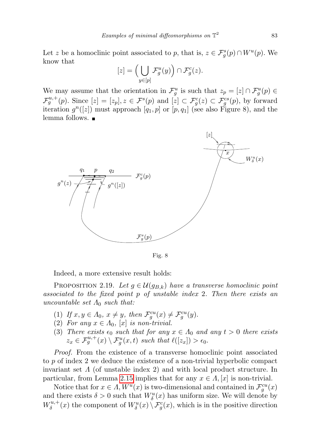Let z be a homoclinic point associated to p, that is,  $z \in \mathcal{F}^s_g(p) \cap W^u(p)$ . We know that

$$
[z] = \left(\bigcup_{y \in [p]} \mathcal{F}_g^u(y)\right) \cap \mathcal{F}_g^c(z).
$$

We may assume that the orientation in  $\mathcal{F}_{g}^{u}$  is such that  $z_{p} = [z] \cap \mathcal{F}_{g}^{u}(p) \in$  $\mathcal{F}_{g}^{u,+}(p)$ . Since  $[z] = [z_p], z \in \mathcal{F}^s(p)$  and  $[z] \subset \mathcal{F}_g^c(z) \subset \mathcal{F}_g^{cs}(p)$ , by forward iteration  $g^{n}([z])$  must approach  $[q_1, p]$  or  $[p, q_1]$  (see also Figure 8), and the lemma follows.



Fig. 8

Indeed, a more extensive result holds:

<span id="page-20-0"></span>PROPOSITION 2.19. Let  $g \in \mathcal{U}(g_{B,k})$  have a transverse homoclinic point associated to the fixed point p of unstable index 2. Then there exists an uncountable set  $\Lambda_0$  such that:

- (1) If  $x, y \in A_0$ ,  $x \neq y$ , then  $\mathcal{F}_g^{cu}(x) \neq \mathcal{F}_g^{cu}(y)$ .
- (2) For any  $x \in \Lambda_0$ , [x] is non-trivial.
- (3) There exists  $\epsilon_0$  such that for any  $x \in \Lambda_0$  and any  $t > 0$  there exists  $z_x \in \mathcal{F}_g^{u,+}(x) \setminus \mathcal{F}_g^u(x,t)$  such that  $\ell([z_x]) > \epsilon_0$ .

Proof. From the existence of a transverse homoclinic point associated to p of index 2 we deduce the existence of a non-trivial hyperbolic compact invariant set  $\Lambda$  (of unstable index 2) and with local product structure. In particular, from Lemma [2.15](#page-17-1) implies that for any  $x \in \Lambda, [x]$  is non-trivial.

Notice that for  $x \in \Lambda$ ,  $W^u(x)$  is two-dimensional and contained in  $\mathcal{F}^{cu}_g(x)$ and there exists  $\delta > 0$  such that  $W^u_{\delta}(x)$  has uniform size. We will denote by  $W^{u,+}_\delta$  $\delta^{u,+}_{\delta}(x)$  the component of  $W^u_{\delta}(x) \setminus \mathcal{F}^c_g(x)$ , which is in the positive direction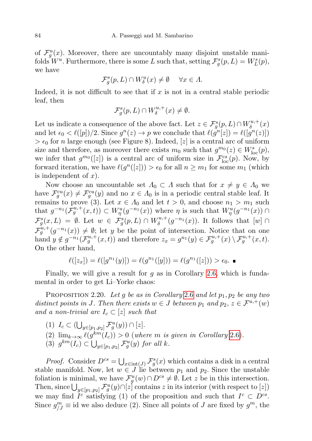of  $\mathcal{F}_{g}^{u}(x)$ . Moreover, there are uncountably many disjoint unstable manifolds  $W^u$ . Furthermore, there is some L such that, setting  $\mathcal{F}^s_g(p,L) = W^s_L(p)$ , we have

$$
\mathcal{F}_g^s(p, L) \cap W_\delta^u(x) \neq \emptyset \quad \forall x \in \Lambda.
$$

Indeed, it is not difficult to see that if  $x$  is not in a central stable periodic leaf, then

$$
\mathcal{F}_g^s(p, L) \cap W^{u,+}_\delta(x) \neq \emptyset.
$$

Let us indicate a consequence of the above fact. Let  $z \in \mathcal{F}^s_g(p,L) \cap W^{u,+}_{\delta}$  $\delta^{u,+}(x)$ and let  $\epsilon_0 < \ell([p])/2$ . Since  $g^n(z) \to p$  we conclude that  $\ell(g^n[z]) = \ell([g^n(z)])$  $> \epsilon_0$  for n large enough (see Figure 8). Indeed, [z] is a central arc of uniform size and therefore, as moreover there exists  $m_0$  such that  $g^{m_0}(z) \in W^s_{loc}(p)$ , we infer that  $g^{m_0}([z])$  is a central arc of uniform size in  $\mathcal{F}^{cs}_{loc}(p)$ . Now, by forward iteration, we have  $\ell(g^n([z])) > \epsilon_0$  for all  $n \geq m_1$  for some  $m_1$  (which is independent of  $x$ ).

Now choose an uncountable set  $\Lambda_0 \subset \Lambda$  such that for  $x \neq y \in \Lambda_0$  we have  $\mathcal{F}_g^{cu}(x) \neq \mathcal{F}_g^{cu}(y)$  and no  $x \in \Lambda_0$  is in a periodic central stable leaf. It remains to prove (3). Let  $x \in \Lambda_0$  and let  $t > 0$ , and choose  $n_1 > m_1$  such that  $g^{-n_1}(\mathcal{\tilde{F}}_g^{u,+}(x,t)) \subset W^u_\eta(g^{-n_1}(x))$  where  $\eta$  is such that  $W^u_\eta(g^{-n_1}(x)) \cap$  $\mathcal{F}^s_g(x,L) = \emptyset$ . Let  $w \in \mathcal{F}^s_g(p,L) \cap W^{u,+}_\delta$  $\delta^{u,+}_\delta(g^{-n_1}(x))$ . It follows that  $[w] \cap$  $\mathcal{F}_{g}^{u,+}(g^{-n_1}(x)) \neq \emptyset$ ; let y be the point of intersection. Notice that on one hand  $y \notin g^{-n_1}(\mathcal{F}_g^{u,+}(x,t))$  and therefore  $z_x = g^{n_1}(y) \in \mathcal{F}_g^{u,+}(x) \setminus \mathcal{F}_g^{u,+}(x,t)$ . On the other hand,

$$
\ell([z_x]) = \ell([g^{n_1}(y)]) = \ell(g^{n_1}([y])) = \ell(g^{n_1}([z])) > \epsilon_0.
$$

Finally, we will give a result for  $g$  as in Corollary [2.6,](#page-9-1) which is fundamental in order to get Li–Yorke chaos:

<span id="page-21-0"></span>PROPOSITION 2.20. Let g be as in Corollary [2.6](#page-9-1) and let  $p_1, p_2$  be any two distinct points in J. Then there exists  $w \in J$  between  $p_1$  and  $p_2, z \in \mathcal{F}^{u,+}(w)$ and a non-trivial arc  $I_c \subset [z]$  such that

- (1)  $I_c \subset (\bigcup_{y \in [p_1, p_2]} \mathcal{F}_g^u(y)) \cap [z].$
- (2)  $\lim_{k\to\infty} \ell(g^{km}(I_c)) > 0$  (where m is given in Corollary [2.6\)](#page-9-1).
- (3)  $g^{km}(I_c) \subset \bigcup_{y \in [p_1,p_2]} \mathcal{F}_g^u(y)$  for all k.

*Proof.* Consider  $D^{cs} = \bigcup_{x \in \text{int}(J)} \mathcal{F}_{g}^{s}(x)$  which contains a disk in a central stable manifold. Now, let  $w \in J$  lie between  $p_1$  and  $p_2$ . Since the unstable foliation is minimal, we have  $\mathcal{F}^u_g(w) \cap D^{cs} \neq \emptyset$ . Let z be in this intersection. Then, since  $\bigcup_{y\in [p_1,p_2]} \mathcal{F}^u_g(y) \cap [z]$  contains z in its interior (with respect to  $[z]$ ) we may find  $I^c$  satisfying (1) of the proposition and such that  $I^c \subset D^{cs}$ . Since  $g_{jj}^m \equiv$  id we also deduce (2). Since all points of J are fixed by  $g^m$ , the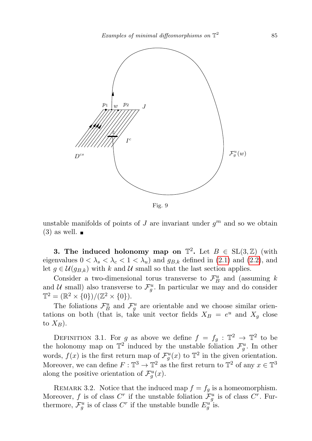

Fig. 9

unstable manifolds of points of J are invariant under  $g^m$  and so we obtain  $(3)$  as well.  $\blacksquare$ 

<span id="page-22-0"></span>**3.** The induced holonomy map on  $\mathbb{T}^2$ . Let  $B \in SL(3, \mathbb{Z})$  (with eigenvalues  $0 < \lambda_s < \lambda_c < 1 < \lambda_u$ ) and  $g_{B,k}$  defined in [\(2.1\)](#page-6-1) and [\(2.2\)](#page-6-2), and let  $g \in \mathcal{U}(g_{B,k})$  with k and U small so that the last section applies.

Consider a two-dimensional torus transverse to  $\mathcal{F}_{B}^{u}$  and (assuming k and U small) also transverse to  $\mathcal{F}_{g}^{u}$ . In particular we may and do consider  $\mathbb{T}^2 = (\mathbb{R}^2 \times \{0\})/(\mathbb{Z}^2 \times \{0\}).$ 

The foliations  $\mathcal{F}_{B}^{u}$  and  $\mathcal{F}_{g}^{u}$  are orientable and we choose similar orientations on both (that is, take unit vector fields  $X_B = e^u$  and  $X_g$  close to  $X_B$ ).

DEFINITION 3.1. For g as above we define  $f = f_g : \mathbb{T}^2 \to \mathbb{T}^2$  to be the holonomy map on  $\mathbb{T}^2$  induced by the unstable foliation  $\mathcal{F}_{g}^u$ . In other words,  $f(x)$  is the first return map of  $\mathcal{F}^u_g(x)$  to  $\mathbb{T}^2$  in the given orientation. Moreover, we can define  $F: \mathbb{T}^3 \to \mathbb{T}^2$  as the first return to  $\mathbb{T}^2$  of any  $x \in \mathbb{T}^3$ along the positive orientation of  $\mathcal{F}_g^u(x)$ .

<span id="page-22-1"></span>REMARK 3.2. Notice that the induced map  $f = f_g$  is a homeomorphism. Moreover, f is of class  $C^r$  if the unstable foliation  $\mathcal{F}^u_g$  is of class  $C^r$ . Furthermore,  $\mathcal{F}_{g}^{u}$  is of class  $C^{r}$  if the unstable bundle  $E_{g}^{u}$  is.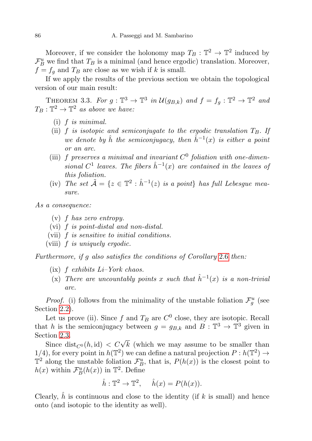Moreover, if we consider the holonomy map  $T_B: \mathbb{T}^2 \to \mathbb{T}^2$  induced by  $\mathcal{F}_{B}^{u}$  we find that  $T_{B}$  is a minimal (and hence ergodic) translation. Moreover,  $f = f_g$  and  $T_B$  are close as we wish if k is small.

If we apply the results of the previous section we obtain the topological version of our main result:

<span id="page-23-0"></span>THEOREM 3.3. For  $g: \mathbb{T}^3 \to \mathbb{T}^3$  in  $\mathcal{U}(g_{B,k})$  and  $f = f_g: \mathbb{T}^2 \to \mathbb{T}^2$  and  $T_B: \mathbb{T}^2 \to \mathbb{T}^2$  as above we have:

- (i) f is minimal.
- (ii) f is isotopic and semiconjugate to the ergodic translation  $T_B$ . If we denote by  $\hat{h}$  the semiconjugacy, then  $\hat{h}^{-1}(x)$  is either a point or an arc.
- (iii) f preserves a minimal and invariant  $C^0$  foliation with one-dimensional  $C^1$  leaves. The fibers  $\hat{h}^{-1}(x)$  are contained in the leaves of this foliation.
- (iv) The set  $\tilde{\mathcal{A}} = \{z \in \mathbb{T}^2 : \hat{h}^{-1}(z)$  is a point} has full Lebesgue measure.

As a consequence:

- (v) f has zero entropy.
- (vi) f is point-distal and non-distal.
- (vii) f is sensitive to initial conditions.
- (viii) f is uniquely ergodic.

Furthermore, if g also satisfies the conditions of Corollary [2.6](#page-9-1) then:

- (ix)  $f$  exhibits  $Li-York$  chaos.
- (x) There are uncountably points x such that  $\hat{h}^{-1}(x)$  is a non-trivial arc.

*Proof.* (i) follows from the minimality of the unstable foliation  $\mathcal{F}_{g}^{u}$  (see Section [2.2\)](#page-10-0).

Let us prove (ii). Since f and  $T_B$  are  $C^0$  close, they are isotopic. Recall that h is the semiconjugacy between  $g = g_{B,k}$  and  $B: \mathbb{T}^3 \to \mathbb{T}^3$  given in Section [2.3.](#page-13-0)

Since dist<sub> $C^0(h, id)$ </sub>  $\lt C\sqrt{k}$  (which we may assume to be smaller than 1/4), for every point in  $h(\mathbb{T}^2)$  we can define a natural projection  $P: h(\mathbb{T}^2) \to$  $\mathbb{T}^2$  along the unstable foliation  $\mathcal{F}_{B}^u$ , that is,  $P(h(x))$  is the closest point to  $h(x)$  within  $\mathcal{F}_{B}^{u}(h(x))$  in  $\mathbb{T}^{2}$ . Define

$$
\hat{h}: \mathbb{T}^2 \to \mathbb{T}^2, \quad \hat{h}(x) = P(h(x)).
$$

Clearly,  $\hat{h}$  is continuous and close to the identity (if k is small) and hence onto (and isotopic to the identity as well).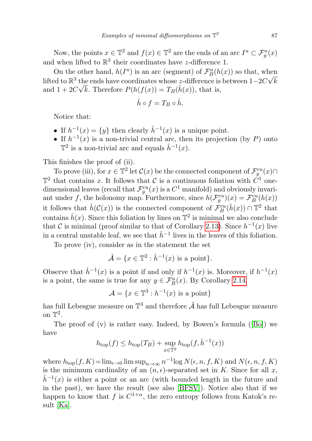Now, the points  $x \in \mathbb{T}^2$  and  $f(x) \in \mathbb{T}^2$  are the ends of an arc  $I^u \subset \mathcal{F}^u_g(x)$ and when lifted to  $\mathbb{R}^3$  their coordinates have z-difference 1.

On the other hand,  $h(I^u)$  is an arc (segment) of  $\mathcal{F}_{B}^{u}(h(x))$  so that, when lifted to  $\mathbb{R}^3$  the ends have coordinates whose z-difference is between  $1-2C\sqrt{k}$ and  $1 + 2C\sqrt{k}$ . Therefore  $P(h(f(x))) = T_B(\hat{h}(x))$ , that is,

$$
\hat{h}\circ f=T_B\circ\hat{h}.
$$

Notice that:

- If  $h^{-1}(x) = \{y\}$  then clearly  $\hat{h}^{-1}(x)$  is a unique point.
- If  $h^{-1}(x)$  is a non-trivial central arc, then its projection (by P) onto  $\mathbb{T}^2$  is a non-trivial arc and equals  $\hat{h}^{-1}(x)$ .

This finishes the proof of (ii).

To prove (iii), for  $x \in \mathbb{T}^2$  let  $\mathcal{C}(x)$  be the connected component of  $\mathcal{F}_g^{cu}(x) \cap$  $\mathbb{T}^2$  that contains x. It follows that C is a continuous foliation with  $\tilde{C}^1$  onedimensional leaves (recall that  $\mathcal{F}^{cu}_{g}(x)$  is a  $C^1$  manifold) and obviously invariant under f, the holonomy map. Furthermore, since  $h(\mathcal{F}_g^{cu})(x) = \mathcal{F}_B^{cu}(h(x))$ it follows that  $\hat{h}(\mathcal{C}(x))$  is the connected component of  $\mathcal{F}_{B}^{cu}(\hat{h}(x)) \cap \mathbb{T}^2$  that contains  $\hat{h}(x)$ . Since this foliation by lines on  $\mathbb{T}^2$  is minimal we also conclude that C is minimal (proof similar to that of Corollary [2.13\)](#page-17-0). Since  $h^{-1}(x)$  live in a central unstable leaf, we see that  $\hat{h}^{-1}$  lives in the leaves of this foliation.

To prove (iv), consider as in the statement the set

$$
\tilde{\mathcal{A}} = \{ x \in \mathbb{T}^2 : \hat{h}^{-1}(x) \text{ is a point} \}.
$$

Observe that  $\hat{h}^{-1}(x)$  is a point if and only if  $h^{-1}(x)$  is. Moreover, if  $h^{-1}(x)$ is a point, the same is true for any  $y \in \mathcal{F}_{B}^{u}(x)$ . By Corollary [2.14,](#page-17-2)

$$
\mathcal{A} = \{x \in \mathbb{T}^3 : h^{-1}(x) \text{ is a point}\}\
$$

has full Lebesgue measure on  $\mathbb{T}^3$  and therefore  $\tilde{\mathcal{A}}$  has full Lebesgue measure on  $\mathbb{T}^2$ .

The proof of (v) is rather easy. Indeed, by Bowen's formula ([\[Bo\]](#page-33-14)) we have

$$
h_{\text{top}}(f) \leq h_{\text{top}}(T_B) + \sup_{x \in \mathbb{T}^2} h_{\text{top}}(f, \hat{h}^{-1}(x))
$$

where  $h_{\text{top}}(f, K) = \lim_{\epsilon \to 0} \limsup_{n \to \infty} n^{-1} \log N(\epsilon, n, f, K)$  and  $N(\epsilon, n, f, K)$ is the minimum cardinality of an  $(n, \epsilon)$ -separated set in K. Since for all x,  $\hat{h}^{-1}(x)$  is either a point or an arc (with bounded length in the future and in the past), we have the result (see also [\[BFSV\]](#page-33-15)). Notice also that if we happen to know that f is  $C^{1+\alpha}$ , the zero entropy follows from Katok's result [\[Ka\]](#page-33-16).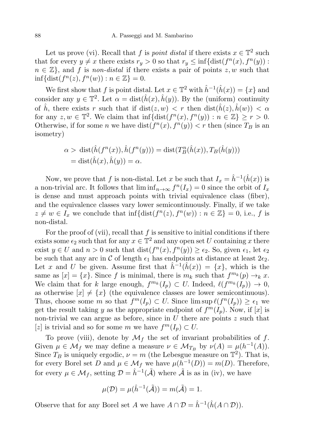Let us prove (vi). Recall that f is *point distal* if there exists  $x \in \mathbb{T}^2$  such that for every  $y \neq x$  there exists  $r_y > 0$  so that  $r_y \leq \inf\{\text{dist}(f^n(x), f^n(y))\}$ :  $n \in \mathbb{Z}$ , and f is non-distal if there exists a pair of points  $z, w$  such that  $\inf{\text{dist}(f^n(z), f^n(w)) : n \in \mathbb{Z}\} = 0.$ 

We first show that f is point distal. Let  $x \in \mathbb{T}^2$  with  $\hat{h}^{-1}(\hat{h}(x)) = \{x\}$  and consider any  $y \in \mathbb{T}^2$ . Let  $\alpha = \text{dist}(\hat{h}(x), \hat{h}(y))$ . By the (uniform) continuity of  $\hat{h}$ , there exists r such that if  $dist(z, w) < r$  then  $dist(\hat{h}(z), \hat{h}(w)) < \alpha$ for any  $z, w \in \mathbb{T}^2$ . We claim that  $\inf{\text{dist}(f^n(x), f^n(y)) : n \in \mathbb{Z}} \geq r > 0$ . Otherwise, if for some *n* we have  $dist(f^{n}(x), f^{n}(y)) < r$  then (since  $T_B$  is an isometry)

$$
\alpha > \text{dist}(\hat{h}(f^n(x)), \hat{h}(f^n(y))) = \text{dist}(T_B^n(\hat{h}(x)), T_B(\hat{h}(y)))
$$
  
= 
$$
\text{dist}(\hat{h}(x), \hat{h}(y)) = \alpha.
$$

Now, we prove that f is non-distal. Let x be such that  $I_x = \hat{h}^{-1}(\hat{h}(x))$  is a non-trivial arc. It follows that  $\liminf_{n\to\infty} f^n(I_x) = 0$  since the orbit of  $I_x$ is dense and must approach points with trivial equivalence class (fiber), and the equivalence classes vary lower semicontinuously. Finally, if we take  $z \neq w \in I_x$  we conclude that  $\inf{\text{dist}(f^n(z), f^n(w)) : n \in \mathbb{Z}} = 0$ , i.e., f is non-distal.

For the proof of (vii), recall that  $f$  is sensitive to initial conditions if there exists some  $\epsilon_2$  such that for any  $x \in \mathbb{T}^2$  and any open set U containing x there exist  $y \in U$  and  $n > 0$  such that  $dist(f^{n}(x), f^{n}(y)) \ge \epsilon_2$ . So, given  $\epsilon_1$ , let  $\epsilon_2$ be such that any arc in C of length  $\epsilon_1$  has endpoints at distance at least  $2\epsilon_2$ . Let x and U be given. Assume first that  $\hat{h}^{-1}(\hat{h}(x)) = \{x\}$ , which is the same as  $[x] = \{x\}$ . Since f is minimal, there is  $m_k$  such that  $f^{m_k}(p) \to_k x$ . We claim that for k large enough,  $f^{m_k}(I_p) \subset U$ . Indeed,  $\ell(f^{m_k}(I_p)) \to 0$ , as otherwise  $[x] \neq \{x\}$  (the equivalence classes are lower semicontinuous). Thus, choose some m so that  $f^m(I_p) \subset U$ . Since  $\limsup \ell(f^n(I_p)) \geq \epsilon_1$  we get the result taking y as the appropriate endpoint of  $f^m(I_p)$ . Now, if  $[x]$  is non-trivial we can argue as before, since in  $U$  there are points  $z$  such that [z] is trivial and so for some m we have  $f^m(I_p) \subset U$ .

To prove (viii), denote by  $\mathcal{M}_f$  the set of invariant probabilities of f. Given  $\mu \in \mathcal{M}_f$  we may define a measure  $\nu \in \mathcal{M}_{T_B}$  by  $\nu(A) = \mu(h^{-1}(A)).$ Since  $T_B$  is uniquely ergodic,  $\nu = m$  (the Lebesgue measure on  $\mathbb{T}^2$ ). That is, for every Borel set D and  $\mu \in \mathcal{M}_f$  we have  $\mu(h^{-1}(D)) = m(D)$ . Therefore, for every  $\mu \in \mathcal{M}_f$ , setting  $\mathcal{D} = \hat{h}^{-1}(\tilde{\mathcal{A}})$  where  $\tilde{\mathcal{A}}$  is as in (iv), we have

$$
\mu(\mathcal{D}) = \mu(\hat{h}^{-1}(\tilde{\mathcal{A}})) = m(\tilde{\mathcal{A}}) = 1.
$$

Observe that for any Borel set A we have  $A \cap \mathcal{D} = \hat{h}^{-1}(\hat{h}(A \cap \mathcal{D}))$ .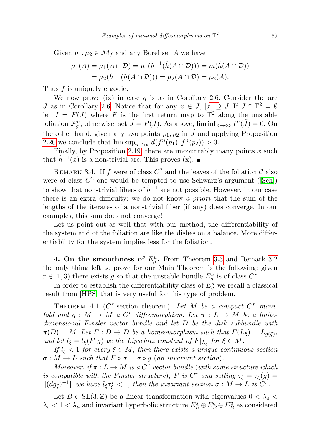Given  $\mu_1, \mu_2 \in \mathcal{M}_f$  and any Borel set A we have

$$
\mu_1(A) = \mu_1(A \cap \mathcal{D}) = \mu_1(\hat{h}^{-1}(\hat{h}(A \cap \mathcal{D}))) = m(\hat{h}(A \cap \mathcal{D}))
$$
  
= 
$$
\mu_2(\hat{h}^{-1}(h(A \cap \mathcal{D}))) = \mu_2(A \cap \mathcal{D}) = \mu_2(A).
$$

Thus f is uniquely ergodic.

We now prove (ix) in case  $g$  is as in Corollary [2.6.](#page-9-1) Consider the arc J as in Corollary [2.6.](#page-9-1) Notice that for any  $x \in J$ ,  $[x] \supseteq J$ . If  $J \cap \mathbb{T}^2 = \emptyset$ let  $\tilde{J} = F(J)$  where F is the first return map to  $\mathbb{T}^2$  along the unstable foliation  $\mathcal{F}_{g}^{u}$ ; otherwise, set  $\tilde{J} = P(J)$ . As above,  $\liminf_{n \to \infty} f^{n}(\tilde{J}) = 0$ . On the other hand, given any two points  $p_1, p_2$  in  $\tilde{J}$  and applying Proposition [2.20](#page-21-0) we conclude that  $\limsup_{n\to\infty} d(f^n(p_1), f^n(p_2)) > 0$ .

Finally, by Proposition [2.19,](#page-20-0) there are uncountably many points  $x$  such that  $\hat{h}^{-1}(x)$  is a non-trivial arc. This proves (x).

REMARK 3.4. If f were of class  $C^2$  and the leaves of the foliation  $\mathcal C$  also were of class  $C^2$  one would be tempted to use Schwarz's argument ([\[Sch\]](#page-34-6)) to show that non-trivial fibers of  $\hat{h}^{-1}$  are not possible. However, in our case there is an extra difficulty: we do not know a priori that the sum of the lengths of the iterates of a non-trivial fiber (if any) does converge. In our examples, this sum does not converge!

Let us point out as well that with our method, the differentiability of the system and of the foliation are like the dishes on a balance. More differentiability for the system implies less for the foliation.

<span id="page-26-0"></span>4. On the smoothness of  $E_g^u$ . From Theorem [3.3](#page-23-0) and Remark [3.2](#page-22-1) the only thing left to prove for our Main Theorem is the following: given  $r \in [1,3)$  there exists g so that the unstable bundle  $E_g^u$  is of class  $C^r$ .

In order to establish the differentiability class of  $\tilde{E_g^u}$  we recall a classical result from [\[HPS\]](#page-33-7) that is very useful for this type of problem.

<span id="page-26-1"></span>THEOREM 4.1 ( $C^r$ -section theorem). Let M be a compact  $C^r$  manifold and  $g: M \to M$  a C<sup>r</sup> diffeomorphism. Let  $\pi: L \to M$  be a finitedimensional Finsler vector bundle and let D be the disk subbundle with  $\pi(D) = M$ . Let  $F: D \to D$  be a homeomorphism such that  $F(L_{\xi}) = L_{g(\xi)},$ and let  $l_{\xi} = l_{\xi}(F, g)$  be the Lipschitz constant of  $F|_{L_{\xi}}$  for  $\xi \in M$ .

If  $l_{\xi}$  < 1 for every  $\xi \in M$ , then there exists a unique continuous section  $\sigma : M \to L$  such that  $F \circ \sigma = \sigma \circ g$  (an invariant section).

Moreover, if  $\pi : L \to M$  is a C<sup>r</sup> vector bundle (with some structure which is compatible with the Finsler structure), F is  $C^r$  and setting  $\tau_{\xi} = \tau_{\xi}(g)$  $\|(dg_{\xi})^{-1}\|$  we have  $l_{\xi}\tau_{\xi}^{r} < 1$ , then the invariant section  $\sigma : M \to L$  is  $C^{r}$ .

Let  $B \in SL(3, \mathbb{Z})$  be a linear transformation with eigenvalues  $0 < \lambda_s$  $\lambda_c < 1 < \lambda_u$  and invariant hyperbolic structure  $E_B^s \oplus E_B^c \oplus E_B^u$  as considered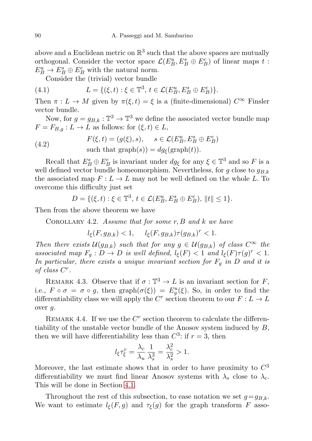above and a Euclidean metric on  $\mathbb{R}^3$  such that the above spaces are mutually orthogonal. Consider the vector space  $\mathcal{L}(E_B^u, E_B^s \oplus E_B^c)$  of linear maps  $t$ :  $E_B^u \to E_B^s \oplus E_B^c$  with the natural norm.

<span id="page-27-0"></span>Consider the (trivial) vector bundle

(4.1) 
$$
L = \{(\xi, t) : \xi \in \mathbb{T}^3, t \in \mathcal{L}(E_B^u, E_B^s \oplus E_B^c)\}.
$$

Then  $\pi : L \to M$  given by  $\pi(\xi, t) = \xi$  is a (finite-dimensional)  $C^{\infty}$  Finsler vector bundle.

Now, for  $g = g_{B,k} : \mathbb{T}^3 \to \mathbb{T}^3$  we define the associated vector bundle map  $F = F_{B,q} : L \to L$  as follows: for  $(\xi, t) \in L$ ,

<span id="page-27-1"></span>(4.2) 
$$
F(\xi, t) = (g(\xi), s), \quad s \in \mathcal{L}(E_B^u, E_B^s \oplus E_B^c)
$$
  
such that graph(s)) =  $dg(\text{graph}(t))$ .

Recall that  $E_B^s \oplus E_B^c$  is invariant under  $dg_{\xi}$  for any  $\xi \in \mathbb{T}^3$  and so F is a well defined vector bundle homeomorphism. Nevertheless, for g close to  $g_{B,k}$ the associated map  $F: L \to L$  may not be well defined on the whole L. To overcome this difficulty just set

$$
D = \{ (\xi, t) : \xi \in \mathbb{T}^3, t \in \mathcal{L}(E_B^u, E_B^s \oplus E_B^c), ||t|| \le 1 \}.
$$

<span id="page-27-2"></span>Then from the above theorem we have

COROLLARY 4.2. Assume that for some  $r, B$  and  $k$  we have

 $l_{\xi}(F, g_{B,k}) < 1, \quad l_{\xi}(F, g_{B,k})\tau(g_{B,k})^r < 1.$ 

Then there exists  $\mathcal{U}(g_{B,k})$  such that for any  $g \in \mathcal{U}(g_{B,k})$  of class  $C^{\infty}$  the associated map  $F_g: D \to D$  is well defined,  $l_{\xi}(F) < 1$  and  $l_{\xi}(F) \tau(g)^r < 1$ . In particular, there exists a unique invariant section for  $F_g$  in D and it is of class  $C^r$ .

<span id="page-27-3"></span>REMARK 4.3. Observe that if  $\sigma : \mathbb{T}^3 \to L$  is an invariant section for F, i.e.,  $F \circ \sigma = \sigma \circ g$ , then  $graph(\sigma(\xi)) = E_g^u(\xi)$ . So, in order to find the differentiability class we will apply the  $C<sup>r</sup>$  section theorem to our  $F: L \to L$ over g.

REMARK 4.4. If we use the  $C<sup>r</sup>$  section theorem to calculate the differentiability of the unstable vector bundle of the Anosov system induced by  $B$ , then we will have differentiability less than  $C^3$ : if  $r = 3$ , then

$$
l_{\xi}\tau_{\xi}^{r} = \frac{\lambda_{c}}{\lambda_{u}}\frac{1}{\lambda_{s}^{3}} = \frac{\lambda_{c}^{2}}{\lambda_{s}^{2}} > 1.
$$

Moreover, the last estimate shows that in order to have proximity to  $C^3$ differentiability we must find linear Anosov systems with  $\lambda_s$  close to  $\lambda_c$ . This will be done in Section [4.1.](#page-30-0)

Throughout the rest of this subsection, to ease notation we set  $g = g_{B,k}$ . We want to estimate  $l_{\xi}(F, g)$  and  $\tau_{\xi}(g)$  for the graph transform F asso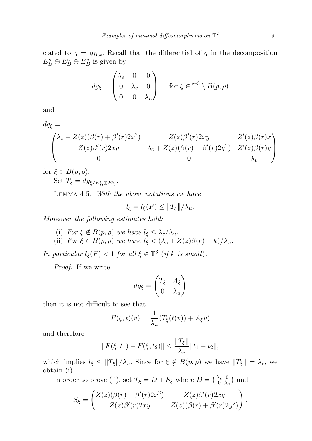ciated to  $g = g_{B,k}$ . Recall that the differential of g in the decomposition  $E_B^s \oplus E_B^c \oplus E_B^u$  is given by

$$
dg_{\xi} = \begin{pmatrix} \lambda_s & 0 & 0 \\ 0 & \lambda_c & 0 \\ 0 & 0 & \lambda_u \end{pmatrix} \quad \text{for } \xi \in \mathbb{T}^3 \setminus B(p, \rho)
$$

and

$$
dg_{\xi} = \begin{pmatrix} \lambda_s + Z(z)(\beta(r) + \beta'(r)2x^2) & Z(z)\beta'(r)2xy & Z'(z)\beta(r)x \\ Z(z)\beta'(r)2xy & \lambda_c + Z(z)(\beta(r) + \beta'(r)2y^2) & Z'(z)\beta(r)y \\ 0 & 0 & \lambda_u \end{pmatrix}
$$

for  $\xi \in B(p, \rho)$ .

Set  $T_{\xi} = dg_{\xi/E_B^s \oplus E_B^c}$ .

<span id="page-28-0"></span>Lemma 4.5. With the above notations we have

$$
l_{\xi} = l_{\xi}(F) \le ||T_{\xi}||/\lambda_u.
$$

Moreover the following estimates hold:

(i) For  $\xi \notin B(p, \rho)$  we have  $l_{\xi} \leq \lambda_c/\lambda_u$ . (ii) For  $\xi \in B(p, \rho)$  we have  $l_{\xi} < (\lambda_c + Z(z)\beta(r) + k)/\lambda_u$ .

In particular  $l_{\xi}(F) < 1$  for all  $\xi \in \mathbb{T}^3$  (if k is small).

Proof. If we write

$$
dg_{\xi} = \begin{pmatrix} T_{\xi} & A_{\xi} \\ 0 & \lambda_u \end{pmatrix}
$$

then it is not difficult to see that

$$
F(\xi, t)(v) = \frac{1}{\lambda_u}(T_{\xi}(t(v)) + A_{\xi}v)
$$

and therefore

$$
||F(\xi, t_1) - F(\xi, t_2)|| \le \frac{||T_{\xi}||}{\lambda_u} ||t_1 - t_2||,
$$

which implies  $l_{\xi} \leq ||T_{\xi}||/\lambda_{u}$ . Since for  $\xi \notin B(p, \rho)$  we have  $||T_{\xi}|| = \lambda_{c}$ , we obtain (i).

In order to prove (ii), set  $T_{\xi} = D + S_{\xi}$  where  $D = \begin{pmatrix} \lambda_s & 0 \\ 0 & \lambda_s \end{pmatrix}$  $\frac{\lambda_s}{0}$   $\frac{0}{\lambda_c}$  and

$$
S_{\xi} = \begin{pmatrix} Z(z)(\beta(r) + \beta'(r)2x^2) & Z(z)\beta'(r)2xy \\ Z(z)\beta'(r)2xy & Z(z)(\beta(r) + \beta'(r)2y^2) \end{pmatrix}.
$$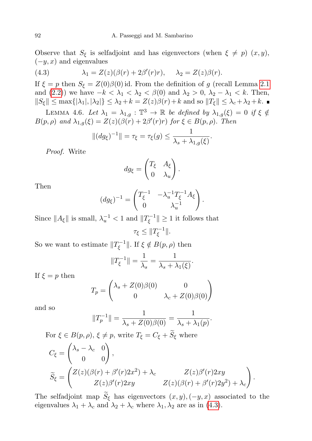Observe that  $S_{\xi}$  is selfadjoint and has eigenvectors (when  $\xi \neq p$ )  $(x, y)$ ,  $(-y, x)$  and eigenvalues

<span id="page-29-0"></span>(4.3) 
$$
\lambda_1 = Z(z)(\beta(r) + 2\beta'(r)r), \quad \lambda_2 = Z(z)\beta(r).
$$

If  $\xi = p$  then  $S_{\xi} = Z(0)\beta(0)$  id. From the definition of g (recall Lemma [2.1](#page-5-3) and [\(2.2\)](#page-6-2)) we have  $-k < \lambda_1 < \lambda_2 < \beta(0)$  and  $\lambda_2 > 0$ ,  $\lambda_2 - \lambda_1 < k$ . Then,  $||S_{\xi}|| \leq \max\{|\lambda_1|, |\lambda_2|\} \leq \lambda_2 + k = Z(z)\beta(r) + k$  and so  $||T_{\xi}|| \leq \lambda_c + \lambda_2 + k$ .

<span id="page-29-1"></span>LEMMA 4.6. Let  $\lambda_1 = \lambda_{1,g} : \mathbb{T}^3 \to \mathbb{R}$  be defined by  $\lambda_{1,g}(\xi) = 0$  if  $\xi \notin \mathbb{R}$  $B(p, \rho)$  and  $\lambda_{1,g}(\xi) = Z(z)(\beta(r) + 2\beta'(r)r)$  for  $\xi \in B(p, \rho)$ . Then

$$
||(dg_{\xi})^{-1}|| = \tau_{\xi} = \tau_{\xi}(g) \le \frac{1}{\lambda_{s} + \lambda_{1,g}(\xi)}.
$$

Proof. Write

$$
dg_{\xi} = \begin{pmatrix} T_{\xi} & A_{\xi} \\ 0 & \lambda_u \end{pmatrix}.
$$

Then

$$
(dg_{\xi})^{-1} = \begin{pmatrix} T_{\xi}^{-1} & -\lambda_u^{-1} T_{\xi}^{-1} A_{\xi} \\ 0 & \lambda_u^{-1} \end{pmatrix}.
$$

Since  $||A_{\xi}||$  is small,  $\lambda_u^{-1} < 1$  and  $||T_{\xi}^{-1}||$  $\|\xi^{-1}\| \geq 1$  it follows that  $\tau_{\xi} \leq \|T_{\xi}^{-1}$  $\frac{1}{\xi}$ l.

So we want to estimate  $||T_{\epsilon}^{-1}||$ <sup>r-1</sup>||. If  $\xi \notin B(p, \rho)$  then

$$
||T_{\xi}^{-1}|| = \frac{1}{\lambda_s} = \frac{1}{\lambda_s + \lambda_1(\xi)}.
$$

If  $\xi = p$  then

$$
T_p = \begin{pmatrix} \lambda_s + Z(0)\beta(0) & 0\\ 0 & \lambda_c + Z(0)\beta(0) \end{pmatrix}
$$

and so

$$
||T_p^{-1}|| = \frac{1}{\lambda_s + Z(0)\beta(0)} = \frac{1}{\lambda_s + \lambda_1(p)}.
$$

For  $\xi \in B(p, \rho)$ ,  $\xi \neq p$ , write  $T_{\xi} = C_{\xi} + S_{\xi}$  where

$$
C_{\xi} = \begin{pmatrix} \lambda_s - \lambda_c & 0 \\ 0 & 0 \end{pmatrix},
$$
  
\n
$$
\widetilde{S}_{\xi} = \begin{pmatrix} Z(z)(\beta(r) + \beta'(r)2x^2) + \lambda_c & Z(z)\beta'(r)2xy \\ Z(z)\beta'(r)2xy & Z(z)(\beta(r) + \beta'(r)2y^2) + \lambda_c \end{pmatrix}.
$$

The selfadjoint map  $\widetilde{S}_{\xi}$  has eigenvectors  $(x, y), (-y, x)$  associated to the eigenvalues  $\lambda_1 + \lambda_c$  and  $\lambda_2 + \lambda_c$  where  $\lambda_1, \lambda_2$  are as in [\(4.3\)](#page-29-0).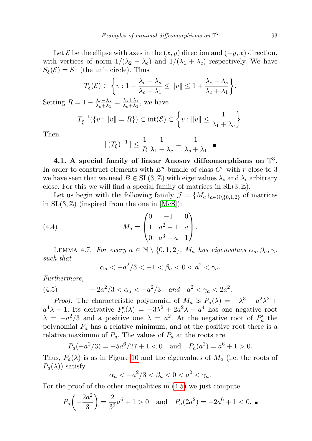Let  $\mathcal E$  be the ellipse with axes in the  $(x, y)$  direction and  $(-y, x)$  direction, with vertices of norm  $1/(\lambda_2 + \lambda_c)$  and  $1/(\lambda_1 + \lambda_c)$  respectively. We have  $S_{\xi}(\mathcal{E}) = S^1$  (the unit circle). Thus

$$
T_{\xi}(\mathcal{E}) \subset \left\{ v : 1 - \frac{\lambda_c - \lambda_s}{\lambda_c + \lambda_1} \le ||v|| \le 1 + \frac{\lambda_c - \lambda_s}{\lambda_c + \lambda_1} \right\}.
$$

Setting  $R = 1 - \frac{\lambda_c - \lambda_s}{\lambda_s + \lambda_1}$  $\frac{\lambda_c - \lambda_s}{\lambda_c + \lambda_1} = \frac{\lambda_s + \lambda_1}{\lambda_c + \lambda_1}$  $\frac{\lambda_s + \lambda_1}{\lambda_c + \lambda_1}$ , we have

$$
T_{\xi}^{-1}(\{v: ||v|| = R\}) \subset \text{int}(\mathcal{E}) \subset \left\{v: ||v|| \leq \frac{1}{\lambda_1 + \lambda_c}\right\}.
$$

Then

$$
|| (T_{\xi})^{-1} || \leq \frac{1}{R} \frac{1}{\lambda_1 + \lambda_c} = \frac{1}{\lambda_s + \lambda_1}.
$$

<span id="page-30-0"></span>4.1. A special family of linear Anosov diffeomorphisms on  $\mathbb{T}^3$ . In order to construct elements with  $E^u$  bundle of class  $C^r$  with r close to 3 we have seen that we need  $B \in SL(3, \mathbb{Z})$  with eigenvalues  $\lambda_s$  and  $\lambda_c$  arbitrary close. For this we will find a special family of matrices in  $SL(3, \mathbb{Z})$ .

Let us begin with the following family  $\mathcal{J} = \{M_a\}_{a \in \mathbb{N} \setminus \{0,1,2\}}$  of matrices in  $SL(3, \mathbb{Z})$  (inspired from the one in [\[McS\]](#page-33-4)):

(4.4) 
$$
M_a = \begin{pmatrix} 0 & -1 & 0 \\ 1 & a^2 - 1 & a \\ 0 & a^3 + a & 1 \end{pmatrix}.
$$

LEMMA 4.7. For every  $a \in \mathbb{N} \setminus \{0, 1, 2\}$ ,  $M_a$  has eigenvalues  $\alpha_a, \beta_a, \gamma_a$ such that

<span id="page-30-1"></span>
$$
\alpha_a < -a^2/3 < -1 < \beta_a < 0 < a^2 < \gamma_a.
$$

Furthermore,

(4.5) 
$$
-2a^2/3 < \alpha_a < -a^2/3 \quad and \quad a^2 < \gamma_a < 2a^2.
$$

*Proof.* The characteristic polynomial of  $M_a$  is  $P_a(\lambda) = -\lambda^3 + a^2\lambda^2 +$  $a^4\lambda + 1$ . Its derivative  $P'_a(\lambda) = -3\lambda^2 + 2a^2\lambda + a^4$  has one negative root  $\lambda = -a^2/3$  and a positive one  $\lambda = a^2$ . At the negative root of  $P'_a$  the polynomial  $P_a$  has a relative minimum, and at the positive root there is a relative maximum of  $P_a$ . The values of  $P_a$  at the roots are

$$
P_a(-a^2/3) = -5a^6/27 + 1 < 0
$$
 and  $P_a(a^2) = a^6 + 1 > 0$ .

Thus,  $P_a(\lambda)$  is as in Figure [10](#page-31-0) and the eigenvalues of  $M_a$  (i.e. the roots of  $P_a(\lambda)$  satisfy

$$
\alpha_a < -a^2/3 < \beta_a < 0 < a^2 < \gamma_a.
$$

For the proof of the other inequalities in [\(4.5\)](#page-30-1) we just compute

$$
P_a\left(-\frac{2a^2}{3}\right) = \frac{2}{3^3}a^6 + 1 > 0 \quad \text{and} \quad P_a(2a^2) = -2a^6 + 1 < 0. \blacksquare
$$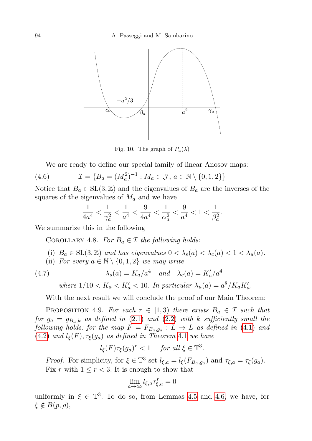

<span id="page-31-0"></span>Fig. 10. The graph of  $P_a(\lambda)$ 

We are ready to define our special family of linear Anosov maps:

(4.6) 
$$
\mathcal{I} = \{B_a = (M_a^2)^{-1} : M_a \in \mathcal{J}, a \in \mathbb{N} \setminus \{0, 1, 2\}\}
$$

Notice that  $B_a \in SL(3, \mathbb{Z})$  and the eigenvalues of  $B_a$  are the inverses of the squares of the eigenvalues of  $M_a$  and we have

$$
\frac{1}{4a^4} < \frac{1}{\gamma_a^2} < \frac{1}{a^4} < \frac{9}{4a^4} < \frac{1}{\alpha_a^2} < \frac{9}{a^4} < 1 < \frac{1}{\beta_a^2}.
$$

We summarize this in the following

COROLLARY 4.8. For  $B_a \in \mathcal{I}$  the following holds:

- (i)  $B_a \in SL(3, \mathbb{Z})$  and has eigenvalues  $0 < \lambda_s(a) < \lambda_c(a) < 1 < \lambda_u(a)$ .
- (ii) For every  $a \in \mathbb{N} \setminus \{0, 1, 2\}$  we may write

(4.7) 
$$
\lambda_s(a) = K_a/a^4 \quad \text{and} \quad \lambda_c(a) = K'_a/a^4
$$

where  $1/10 < K_a < K'_a < 10$ . In particular  $\lambda_u(a) = a^8/K_aK'_a$ .

With the next result we will conclude the proof of our Main Theorem:

PROPOSITION 4.9. For each  $r \in [1,3)$  there exists  $B_a \in \mathcal{I}$  such that for  $g_a = g_{B_a,k}$  as defined in [\(2.1\)](#page-6-1) and [\(2.2\)](#page-6-2) with k sufficiently small the following holds: for the map  $F = F_{B_a, g_a} : L \to L$  as defined in [\(4.1\)](#page-27-0) and [\(4.2\)](#page-27-1) and  $l_{\xi}(F), \tau_{\xi}(g_a)$  as defined in Theorem [4.1](#page-26-1) we have

$$
l_{\xi}(F)\tau_{\xi}(g_a)^r < 1
$$
 for all  $\xi \in \mathbb{T}^3$ .

*Proof.* For simplicity, for  $\xi \in \mathbb{T}^3$  set  $l_{\xi,a} = l_{\xi}(F_{B_a,g_a})$  and  $\tau_{\xi,a} = \tau_{\xi}(g_a)$ . Fix r with  $1 \leq r < 3$ . It is enough to show that

$$
\lim_{a \to \infty} l_{\xi, a} \tau_{\xi, a}^r = 0
$$

uniformly in  $\xi \in \mathbb{T}^3$ . To do so, from Lemmas [4.5](#page-28-0) and [4.6,](#page-29-1) we have, for  $\xi \notin B(p, \rho),$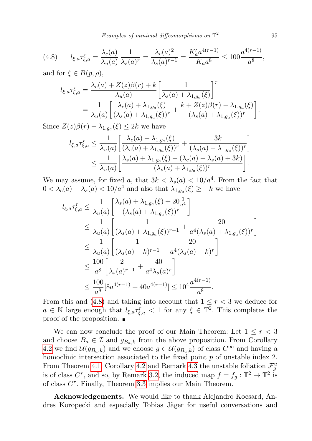<span id="page-32-0"></span>
$$
(4.8) \qquad l_{\xi,a}\tau_{\xi,a}^r = \frac{\lambda_c(a)}{\lambda_u(a)}\frac{1}{\lambda_s(a)^r} = \frac{\lambda_c(a)^2}{\lambda_s(a)^{r-1}} = \frac{K_a'a^{4(r-1)}}{K_a a^8} \le 100\frac{a^{4(r-1)}}{a^8},
$$

and for  $\xi \in B(p, \rho)$ ,

$$
l_{\xi,a}\tau_{\xi,a}^r = \frac{\lambda_c(a) + Z(z)\beta(r) + k}{\lambda_u(a)} \left[\frac{1}{\lambda_s(a) + \lambda_{1,g_a}(\xi)}\right]^r
$$
  
= 
$$
\frac{1}{\lambda_u(a)} \left[\frac{\lambda_c(a) + \lambda_{1,g_a}(\xi)}{(\lambda_s(a) + \lambda_{1,g_a}(\xi))^r} + \frac{k + Z(z)\beta(r) - \lambda_{1,g_a}(\xi)}{(\lambda_s(a) + \lambda_{1,g_a}(\xi))^r}\right].
$$

Since  $Z(z)\beta(r) - \lambda_{1,g_a}(\xi) \leq 2k$  we have

$$
l_{\xi,a}\tau_{\xi,a}^r \leq \frac{1}{\lambda_u(a)} \left[ \frac{\lambda_c(a) + \lambda_{1,g_a}(\xi)}{(\lambda_s(a) + \lambda_{1,g_a}(\xi))^r} + \frac{3k}{(\lambda_s(a) + \lambda_{1,g_a}(\xi))^r} \right] \leq \frac{1}{\lambda_u(a)} \left[ \frac{\lambda_s(a) + \lambda_{1,g_a}(\xi) + (\lambda_c(a) - \lambda_s(a) + 3k)}{(\lambda_s(a) + \lambda_{1,g_a}(\xi))^r} \right].
$$

We may assume, for fixed a, that  $3k < \lambda_s(a) < 10/a^4$ . From the fact that  $0 < \lambda_c(a) - \lambda_s(a) < 10/a^4$  and also that  $\lambda_{1,g_a}(\xi) \geq -k$  we have

$$
l_{\xi,a}\tau_{\xi,a}^{r} \leq \frac{1}{\lambda_{u}(a)} \left[ \frac{\lambda_{s}(a) + \lambda_{1,g_{a}}(\xi) + 20\frac{1}{a^{4}}}{(\lambda_{s}(a) + \lambda_{1,g_{a}}(\xi))^{r}} \right]
$$
  
\n
$$
\leq \frac{1}{\lambda_{u}(a)} \left[ \frac{1}{(\lambda_{s}(a) + \lambda_{1,g_{a}}(\xi))^{r-1}} + \frac{20}{a^{4}(\lambda_{s}(a) + \lambda_{1,g_{a}}(\xi))^{r}} \right]
$$
  
\n
$$
\leq \frac{1}{\lambda_{u}(a)} \left[ \frac{1}{(\lambda_{s}(a) - k)^{r-1}} + \frac{20}{a^{4}(\lambda_{s}(a) - k)^{r}} \right]
$$
  
\n
$$
\leq \frac{100}{a^{8}} \left[ \frac{2}{\lambda_{s}(a)^{r-1}} + \frac{40}{a^{4}\lambda_{s}(a)^{r}} \right]
$$
  
\n
$$
\leq \frac{100}{a^{8}} [8a^{4(r-1)} + 40a^{4(r-1)}] \leq 10^{4} \frac{a^{4(r-1)}}{a^{8}}.
$$

From this and [\(4.8\)](#page-32-0) and taking into account that  $1 \leq r < 3$  we deduce for  $a \in \mathbb{N}$  large enough that  $l_{\xi,a}\tau_{\xi,a}^r < 1$  for any  $\xi \in \mathbb{T}^2$ . This completes the proof of the proposition.  $\blacksquare$ 

We can now conclude the proof of our Main Theorem: Let  $1 \leq r < 3$ and choose  $B_a \in \mathcal{I}$  and  $g_{B_a,k}$  from the above proposition. From Corollary [4.2](#page-27-2) we find  $\mathcal{U}(g_{B_a,k})$  and we choose  $g \in \mathcal{U}(g_{B_a,k})$  of class  $C^{\infty}$  and having a homoclinic intersection associated to the fixed point  $p$  of unstable index 2. From Theorem [4.1,](#page-26-1) Corollary [4.2](#page-27-2) and Remark [4.3](#page-27-3) the unstable foliation  $\mathcal{F}_g^u$ is of class  $C^r$ , and so, by Remark [3.2,](#page-22-1) the induced map  $f = f_g : \mathbb{T}^2 \to \mathbb{T}^2$  is of class  $C<sup>r</sup>$ . Finally, Theorem [3.3](#page-23-0) implies our Main Theorem.

Acknowledgements. We would like to thank Alejandro Kocsard, Andres Koropecki and especially Tobias Jäger for useful conversations and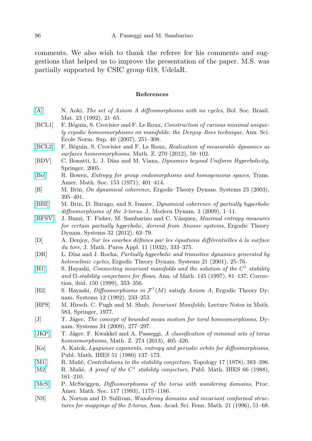comments. We also wish to thank the referee for his comments and suggestions that helped us to improve the presentation of the paper. M.S. was partially supported by CSIC group 618, UdelaR.

## References

- <span id="page-33-11"></span>[\[A\]](http://dx.doi.org/10.1007/BF02584810) N. Aoki, The set of Axiom A diffeomorphisms with no cycles, Bol. Soc. Brasil. Mat. 23 (1992), 21–65.
- <span id="page-33-2"></span>[BCL1] F. Béguin, S. Crovisier and F. Le Roux, Construction of curious minimal uniquely ergodic homeomorphisms on manifolds: the Denjoy–Rees technique, Ann. Sci. Ecole Norm. Sup.  $40$   $(2007)$ ,  $251-308$ .
- <span id="page-33-5"></span>[\[BCL2\]](http://dx.doi.org/10.1007/s00209-010-0786-2) F. Béguin, S. Crovisier and F. Le Roux, Realization of measurable dynamics as surfaces homeomorphisms, Math. Z. 270 (2012), 59–102.
- [BDV] C. Bonatti, L. J. Díaz and M. Viana, *Dynamics beyond Uniform Hyperbolicity*, Springer, 2005.
- <span id="page-33-14"></span>[\[Bo\]](http://dx.doi.org/10.1090/S0002-9947-1971-0274707-X) R. Bowen, Entropy for group endomorphisms and homogeneous spaces, Trans. Amer. Math. Soc. 153 (1971), 401–414.
- <span id="page-33-9"></span>[B] M. Brin, On dynamical coherence, Ergodic Theory Dynam. Systems 23 (2003), 395–401.
- <span id="page-33-8"></span>[\[BBI\]](http://dx.doi.org/10.3934/jmd.2009.3.1) M. Brin, D. Burago, and S. Ivanov, Dynamical coherence of partially hyperbolic diffeomorphisms of the 3-torus, J. Modern Dynam.  $3$  (2009), 1–11.
- <span id="page-33-15"></span>[\[BFSV\]](http://dx.doi.org/10.1017/S0143385710000854) J. Buzzi, T. Fisher, M. Sambarino and C. Vásquez, *Maximal entropy measures* for certain partially hyperbolic, derived from Anosov systems, Ergodic Theory Dynam. Systems 32 (2012), 63–79.
- <span id="page-33-0"></span>[D] A. Denjoy, Sur les courbes définies par les équations différentielles à la surface du tore, J. Math. Pures Appl. 11 (1932), 333–375.
- [DR] L. Díaz and J. Rocha, *Partially hyperbolic and transitive dynamics generated by* heteroclinic cycles, Ergodic Theory Dynam. Systems 21 (2001), 25-76.
- <span id="page-33-13"></span>[\[H1\]](http://dx.doi.org/10.2307/2951824) S. Hayashi, *Connecting invariant manifolds and the solution of the*  $C^1$  *stability* and  $\Omega$ -stability conjectures for flows, Ann. of Math. 145 (1997), 81–137; Correction, ibid. 150 (1999), 353–356.
- <span id="page-33-12"></span>[H2] S. Hayashi, *Diffeomorphisms in*  $\mathcal{F}^1(M)$  *satisfy Axiom A*, Ergodic Theory Dynam. Systems 12 (1992), 233–253.
- <span id="page-33-7"></span>[HPS] M. Hirsch, C. Pugh and M. Shub, Invariant Manifolds, Lecture Notes in Math. 583, Springer, 1977.
- <span id="page-33-1"></span>[J] T. Jäger, The concept of bounded mean motion for toral homeomorphisms, Dynam. Systems 24 (2009), 277–297.
- <span id="page-33-3"></span>[\[JKP\]](http://dx.doi.org/10.1007/s00209-012-1076-y) T. Jäger, F. Kwakkel and A. Passeggi, A classification of minimal sets of torus homeomorphisms, Math. Z. 274 (2013), 405–426.
- <span id="page-33-16"></span>[Ka] A. Katok, Lyapunov exponents, entropy and periodic orbits for diffeomorphisms, Publ. Math. IHES 51 (1980) 137–173.
- <span id="page-33-6"></span>[\[M1\]](http://dx.doi.org/10.1016/0040-9383(78)90005-8) R. Mañé, Contributions to the stability conjecture, Topology 17 (1978), 383–396.
- <span id="page-33-10"></span>[M2] R. Mañé, A proof of the  $C^1$  stability conjecture, Publ. Math. IHES 66 (1988), 161–210.
- <span id="page-33-4"></span>[\[McS\]](http://dx.doi.org/10.1090/S0002-9939-1993-1154247-6) P. McSwiggen, *Diffeomorphisms of the torus with wandering domains*, Proc. Amer. Math. Soc. 117 (1993), 1175–1186.
- [NS] A. Norton and D. Sullivan, Wandering domains and invariant conformal structures for mappings of the 2-torus, Ann. Acad. Sci. Fenn. Math. 21 (1996), 51–68.